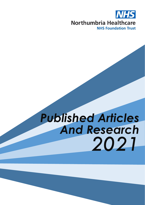

# *Published Articles And Research 2021*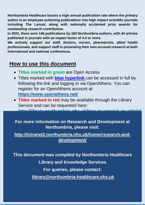**Northumbria Healthcare boasts a high annual publication rate where the primary author is an employee achieving publications into high impact scientific journals including** *The Lancet,* **along with nationally acclaimed prize awards for outstanding research contribution***.* 

**In 2021, there were 146 publications by 183 Northumbria authors, with 44 articles published in journals with an impact factor of 4.0 or more.**

**We actively support our staff, doctors, nurses, pharmacists, allied health professionals, and support staff in presenting their own account research at both international and national conferences.** 

#### **How to use this document**

- **Titles marked in green** are Open Access
- Titles marked with **blue hyperlink** can be accessed in full by following the link and logging in via OpenAthens. You can register for an OpenAthens account at: **<https://www.openathens.net/>**
- **Titles marked in red** may be available through the Library Service and can be requested here: http://library.northumbria.nhs.uk/how-to-

**For more information on Research and Development at Northumbria, please visit:**

**[http://intranet2.northumbria.nhs.uk/home/research-and](http://intranet2.northumbria.nhs.uk/home/research-and-development/)[development/](http://intranet2.northumbria.nhs.uk/home/research-and-development/)**

**This document was compiled by Northumbria Healthcare** 

**Library and Knowledge Services**

**For queries, please contact:** 

**[library@northumbria-healthcare.nhs.uk](mailto:library@northumbria-healthcare.nhs.uk)**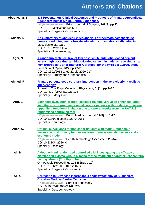| Abounozha, S. | 836 Presentation, Clinical Outcomes and Prognosis of Primary Appendiceal<br><b>Adenocarcinoma; Single Centre Experience.</b>                                                                                                                                                                                                                                                               |
|---------------|--------------------------------------------------------------------------------------------------------------------------------------------------------------------------------------------------------------------------------------------------------------------------------------------------------------------------------------------------------------------------------------------|
|               | *High Impact Journal* British Journal of Surgery, 108(Supp 2).<br>DOI: 10.1093/bis/znab134.583<br>Speciality: Surgery & Orthopaedics                                                                                                                                                                                                                                                       |
| Adams, N.     | An exploratory study using video analysis of rheumatology specialist<br>nurses conducting methotrexate education consultations with patients.<br>Musculoskeletal Care.<br>DOI: 10.1002/msc.1543<br>Speciality: Rheumatology                                                                                                                                                                |
| Agni, N.      | A randomized clinical trial of low dose single antibiotic-loaded cement<br>versus high dose dual antibiotic-loaded cement in patients receiving a hip<br>hemiarthroplasty after fracture: A protocol for the WHITE 8 COPAL study.<br>Bone & Joint Open, 2(2), pp.72-78.<br>DOI: 10.1302/2633-1462.22.bjo-2020-0174<br>Speciality: Surgery and Orthopaedics                                 |
| Ahmed, R.     | Primary percutaneous coronary intervention in the very elderly: a realistic<br>intervention?<br>Journal of The Royal College of Physicians, 51(1), pp.9-10<br>DOI: 10.4997/JRCPE.2021.103<br><b>Speciality: Elderly Care</b>                                                                                                                                                               |
| Aird, L.      | Economic evaluation of robot-assisted training versus an enhanced upper<br>limb therapy programme or usual care for patients with moderate or severe<br>upper limb functional limitation due to stroke: results from the RATULS<br>randomised controlled trial<br>*High Impact Journal* British Medical Journal, 11(5) pp.1-12<br>DOI:10.1136/bmjopen-2020-042081<br>Speciality: Neurology |
| Akor, W.      | Optimal surveillance strategies for patients with stage 1 cutaneous<br>melanoma post primary tumour excision: three systematic reviews and an<br>economic model<br>*High Impact Journal* Health Technology Assessment 25(64)<br>DOI:10.3310/hta25640<br>Speciality: Oncology                                                                                                               |
| Ali, M.       | A double-blind randomized controlled trial investigating the efficacy of<br>platelet-rich plasma versus placebo for the treatment of greater Trochanteric<br>pain syndrome (The Hippo trial)<br>Orthopaedic Proceedings 103-B (Supp 10)<br>DOI: 10.1186/s13063-018-2907-x<br>Speciality: Surgery & Orthopaedics                                                                            |
| Ali, O.       | Correction to: Day case Iaparoscopic cholecystectomy at Kilimanjaro<br><b>Christian Medical Centre, Tanzania.</b><br>*High Impact Journal* Surgical Endoscopy<br>DOI:10.1007/s00464-021-08324-1<br>Speciality: Gastroenterology                                                                                                                                                            |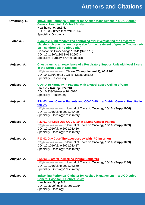| Armstrong, L. | <b>Indwelling Peritoneal Catheter for Ascites Management in a UK District</b><br><b>General Hospital: A Cohort Study</b><br>Healthcare, 9, pp.1-5.<br>DOI: 10.3390/healthcare9101254<br>Speciality: Oncology                                                                                                    |
|---------------|-----------------------------------------------------------------------------------------------------------------------------------------------------------------------------------------------------------------------------------------------------------------------------------------------------------------|
| Atchia, I.    | A double-blind randomized controlled trial investigating the efficacy of<br>platelet-rich plasma versus placebo for the treatment of greater Trochanteric<br>pain syndrome (The Hippo trial)<br>Orthopaedic Proceedings 103-B (Supp 10)<br>DOI: 10.1186/s13063-018-2907-x<br>Speciality: Surgery & Orthopaedics |
| Aujayeb, A.   | Chest trauma: an experience of a Respiratory Support Unit with level 2 care<br>in the North East of England<br>*High Impact Journal* Thorax 76(supplement 2), A1-A205<br>DOI:10.1136/thorax-2021-BTSabstracts.82<br>Speciality: Respiratory                                                                     |
| Aujayeb, A.   | <b>COVID-19 Mortality in Patients with a Ward-Based Ceiling of Care</b><br>Stresses 1(4), pp. 277-284<br>DOI:10.3390/stresses1040020<br><b>Speciality: Respiratory</b>                                                                                                                                          |
| Aujayeb, A.   | P34.03 Lung Cancer Patients and COVID-19 in a District General Hospital in<br>the UK<br>*High Impact Journal* Journal of Thoracic Oncology 16(10) (Supp 1060)<br>DOI: 10.1016/j.jtho.2021.08.420<br>Speciality: Oncology/Respiratory                                                                            |
| Aujayeb, A.   | P33.01 Air Leak Due COVID-19 in a Lung Cancer Patient<br>*High Impact Journal* Journal of Thoracic Oncology 16(10) (Supp 1059)<br>DOI: 10.1016/j.jtho.2021.08.416<br>Speciality: Oncology/Respiratory                                                                                                           |
| Aujayeb, A.   | <b>P33.02 Day Case Thoracocoscopy With IPC Insertion</b><br>*High Impact Journal* Journal of Thoracic Oncology 16(10) (Supp 1059)<br>DOI: 10.1016/j.jtho.2021.08.417<br>Speciality: Oncology/Respiratory                                                                                                        |
| Aujayeb, A.   | <b>P54.03 Bilateral Indwelling Pleural Catheters</b><br>*High Impact Journal* Journal of Thoracic Oncology 16(10) (Supp 1130)<br>DOI: 10.1016/j.jtho.2021.08.560<br>Speciality: Oncology/Respiratory                                                                                                            |
| Aujayeb, A.   | <b>Indwelling Peritoneal Catheter for Ascites Management in a UK District</b><br><b>General Hospital: A Cohort Study</b><br>Healthcare, 9, pp.1-5.<br>DOI: 10.3390/healthcare9101254<br><b>Speciality: Oncology</b>                                                                                             |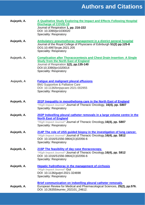| Aujayeb, A. | A Qualitative Study Exploring the Impact and Effects Following Hospital<br><b>Discharge of COVID-19</b><br>Journal of Respiration 1, pp. 216-222<br>DOI: 10.3390/jor1030020<br><b>Speciality: Respiratory</b>                       |
|-------------|-------------------------------------------------------------------------------------------------------------------------------------------------------------------------------------------------------------------------------------|
| Aujayeb, A. | Ambulatory pneumothorax management in a district general hospital<br>Journal of the Royal College of Physicians of Edinburgh 51(2) pp.125-8<br>DO1:10.4997/jrcpe.2021.205<br><b>Speciality: Respiratory</b>                         |
| Aujayeb, A. | <b>Complication after Thoracocentesis and Chest Drain Insertion: A Single</b><br><b>Study from the North East of England</b><br>Journal of Respiration 1(2), pp.135-140<br>DOI:10.3390/jor1020014<br><b>Speciality: Respiratory</b> |
| Aujayeb, A  | <b>Fatigue and malignant pleural effusions</b><br><b>BMJ Supportive &amp; Palliative Care</b><br>DOI: 10.1136/bmjspcare-2021-002955<br><b>Speciality: Respiratory</b>                                                               |
| Aujayeb, A. | 201P Inequality in mesothelioma care in the North East of England<br>*High Impact Journal* Journal of Thoracic Oncology, 16(4), pp. S807<br><b>Speciality: Respiratory</b>                                                          |
| Aujayeb, A. | 202P Indwelling pleural catheter removals in a large volume centre in the<br><b>North East of England</b><br>*High Impact Journal* Journal of Thoracic Oncology, 16(4), pp. S807<br><b>Speciality: Respiratory</b>                  |
| Aujayeb, A. | 214P The role of USS guided biopsy in the investigation of lung cancer.<br>*High Impact Journal* Journal of Thoracic Oncology, 16(4), pp. S812<br>DOI: 10.1016/S1556-0864(21)02056-6<br><b>Speciality: Respiratory</b>              |
| Aujayeb, A. | 215P The feasibility of day case thoracoscopy.<br>*High Impact Journal* Journal of Thoracic Oncology, 16(4), pp. S812<br>DOI: 10.1016/S1556-0864(21)02056-6<br>Speciality: Respiratory                                              |
| Aujayeb, A. | <b>Hepatic hydrothorax in the management of cirrhosis</b><br>*High Impact Journal* Gut<br>DOI: 10.1136/gutjnl-2021-324698<br><b>Speciality: Respiratory</b>                                                                         |
| Aujayeb, A. | Brief communication on indwelling pleural catheter removals.<br>European Review for Medical and Pharmacological Sciences, 25(2), pp.576.<br>DOI: 10.26355/eurrev_202101_24612.                                                      |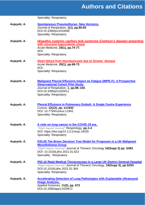Speciality: Respiratory

- **Aujayeb, A. [Spontaneous Pneumothorax: New Horizons.](https://www.mdpi.com/2673-527X/1/1/8)** Journal of Respiration, **1(1), pp.80-83** DOI:10.3390/jor1010008 Speciality: Respiratory
- **Aujayeb, A. [Idiopathic systemic capillary leak syndrome \(Clarkson's disease\) presenting](https://pubmed.ncbi.nlm.nih.gov/33749696/)  [with recurrent hypovolemic shock](https://pubmed.ncbi.nlm.nih.gov/33749696/)** Acute Medicine, **20(1), pp.74-77.** DOI: Speciality: Respiratory
- **Aujayeb, A. [Heart failure from thyrotoxicosis due to Graves' disease](https://acutemedjournal.co.uk/case-reports/heart-failure-from-thyrotoxicosis-due-to-graves-disease/)** Acute Medicine, **20(1), pp.68-73** DOI: Speciality: Respiratory
- **Aujayeb, A. [Malignant Pleural Effusions Impact on Fatigue \(IMPE-F\): A Prospective](https://www.mdpi.com/2673-527X/1/2/11/htm)  [Observational Cohort Pilot Study.](https://www.mdpi.com/2673-527X/1/2/11/htm)** Journal of Respiration, **1, pp.98–104**. DOI:10.3390/jor1020011 Speciality: Respiratory
- **Aujayeb, A. [Pleural Effusions in Pulmonary Emboli: A Single Centre Experience](https://europepmc.org/article/pmc/pmc7785488)** Cureus, **12(12), pp. e11942** DOI: 10.7759/cureus.11942. Speciality: Respiratory
- **Aujayeb, A. [A note on lung cancer in the COVID](https://onlinelibrary.wiley.com/doi/epdf/10.1111/resp.14035)**‐**19 era.** *\*High Impact Journal\** Respirology, **pp.1-4** DOI: https://doi.org/10.1111/resp.14035 Speciality: Respiratory
- **Aujayeb, A. [P25.05 The Brims Decision Tree Model for Prognosis in a UK Malignant](https://www.jto.org/action/showPdf?pii=S1556-0864%2821%2900665-1)  [Mesothelioma Group](https://www.jto.org/action/showPdf?pii=S1556-0864%2821%2900665-1)** *\*High Impact Journal\** Journal of Thoracic Oncology **16(Supp 3) pp. S383** DOI: 10.1016/j.jtho.2021.01.623 Speciality: Respiratory
- **Aujayeb, A. [P02.16 Rigid Medical Thoracoscopy in a Large UK District General Hospital.](https://www.jto.org/article/S1556-0864(21)00406-8/pdf)** *\*High Impact Journal\** Journal of Thoracic Oncology, **16(Supp 3), pp.S253** DOI:10.1016/j.jtho.2021.01.364 Speciality: Respiratory
- **Aujayeb, A. [Accelerating Detection of Lung Pathologies with Explainable Ultrasound](https://www.mdpi.com/2076-3417/11/2/672)  [Image Analysis.](https://www.mdpi.com/2076-3417/11/2/672)** Applied Sciences, **11(2), pp. 672** DOI:10.3390/app11020672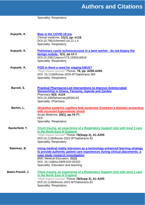#### Speciality: Respiratory

- **Aujayeb, A. [Bias in the COVID-19 era.](https://www.ncbi.nlm.nih.gov/pmc/articles/PMC7850185/pdf/clinmed-21-1-e118.pdf)** Clinical medicine, **21(1), pp. e118.** DOI:10.7861/clinmed.Let.21.1.4 Speciality: Respiratory
- **Aujayeb, A. [Pulmonary cystic echinococcosis in a farm worker -](https://www.ejmcr.com/fulltext/173-1590416616.pdf?1616431444) do not biopsy the [benign nodule.](https://www.ejmcr.com/fulltext/173-1590416616.pdf?1616431444)**, **5(1), pp.12-1** DOI:10.24911/ejmcr/173-1590416616 Speciality: Respiratory
- **Aujayeb, A. P220 [Is there a need for staging EBUS?](https://thorax.bmj.com/content/thoraxjnl/76/Suppl_1/A208.2.full.pdf)** *\*High Impact Journal\** Thorax, **76, pp. A208-A209.** DOI: 10.1136/thorax-2020-BTSabstracts.365 Speciality: Respiratory
- **Barrett, S. [Practical Pharmacist-Led Interventions to Improve Antimicrobial](https://doi.org/10.3390/pharmacy9030124)  [Stewardship in Ghana, Tanzania, Uganda and Zambia](https://doi.org/10.3390/pharmacy9030124)** Pharmacy **9(3) A124** DOI:10.3390/pharmacy9030124 Speciality: Pharmacy
- **Barton, L. [Idiopathic systemic capillary leak syndrome \(Clarkson's disease\) presenting](https://pubmed.ncbi.nlm.nih.gov/33749696/)  [with recurrent hypovolemic shock](https://pubmed.ncbi.nlm.nih.gov/33749696/)** Acute Medicine, **20(1), pp.74-77.** DOI: Speciality: Respiratory
- **Basterfield, T. [Chest trauma: an experience of a Respiratory Support Unit with level](https://thorax.bmj.com/content/76/Suppl_2/A49.1) 2 care [in the North East of England](https://thorax.bmj.com/content/76/Suppl_2/A49.1)** *\*High Impact Journal\** Thorax **76(Supp 2), A1-A205** DOI:10.1136/thorax-2021-BTSabstracts.82 Speciality: Respiratory
- **Bateman, B. [Using medical reality television as a technology-enhanced learning strategy](https://bmcmededuc.biomedcentral.com/track/pdf/10.1186/s12909-020-02432-7.pdf)  [to provide authentic patient care experiences during clinical placements: a](https://bmcmededuc.biomedcentral.com/track/pdf/10.1186/s12909-020-02432-7.pdf)  [case study research investigation.](https://bmcmededuc.biomedcentral.com/track/pdf/10.1186/s12909-020-02432-7.pdf)** BMC Medical Education, **21(1)** DOI: 10.1186/s12909-020-02432- Speciality: Education and teaching
- **Bates-Powell, J. [Chest trauma: an experience of a Respiratory Support](https://thorax.bmj.com/content/76/Suppl_2/A49.1) Unit with level 2 care [in the North East of England](https://thorax.bmj.com/content/76/Suppl_2/A49.1)** *\*High Impact Journal\** Thorax **76(Supp 2), A1-A205** DOI:10.1136/thorax-2021-BTSabstracts.82 Speciality: Respiratory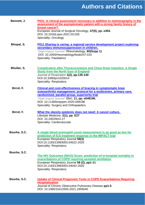| Bennett, J.         | P031. Is clinical assessment necessary in addition to mammography in the<br>assessment of the asymptomatic patient with a strong family history of<br>breast cancer?.<br>European Journal of Surgical Oncology, 47(5), pp. e304.<br>DOI: 10.1016/j.ejso.2021.03.035<br>Speciality: Oncology                               |
|---------------------|---------------------------------------------------------------------------------------------------------------------------------------------------------------------------------------------------------------------------------------------------------------------------------------------------------------------------|
| Bhopal, S.          | P011 Sharing is caring: a regional service development project exploring<br>secondary immunosuppression in children.<br>*High Impact Journal* Rheumatology, 60(Supp 1)<br>DOI: 10.1093/rheumatology/keab247.010<br><b>Speciality: Paediatrics</b>                                                                         |
| Bhullar, S.         | <b>Complication after Thoracocentesis and Chest Drain Insertion: A Single</b><br><b>Study from the North East of England</b><br>Journal of Respiration 1(2), pp.135-140<br>DOI:10.3390/jor1020014<br>Speciality: Respiratory                                                                                              |
| Birrel, F.          | <b>Clinical and cost-effectiveness of bracing in symptomatic knee</b><br>osteoarthritis management: protocol for a multicentre, primary care,<br>randomised, parallel-group, superiority trial<br>*High Impact Journal* BMJ, 11, pp. e048196.<br>DOI: 10.1136/bmjopen-2020-048196<br>Speciality: Surgery and Orthopaedics |
| Birrel, F.          | What the obesity epidemic does not need: A cancel culture.<br>Lifestyle Medicine, 2(1), pp. E27<br>DOI: 10.1002/lim2.27<br>Speciality: Cardiovascular                                                                                                                                                                     |
| Bourke, S.C.        | A single blood eosinophil count measurement is as good as two for<br>prediction of ICS treatment response in the IMPACT trial<br>European Respiratory Journal 58(3)<br>DOI:10.1183/13993003.04522-2020<br>Speciality: Respiratory                                                                                         |
| Bourke, S.C.        | The NIV Outcomes (NIVO) Score: prediction of in-hospital mortality in<br>exacerbations of COPD requiring assisted ventilation<br>European Respiratory Journal 58 (2), pp1-11<br>DOI:10.1183/13993003.04042-2020<br>Speciality: Respiratory                                                                                |
| <b>Bourke, S.C.</b> | Uptake of Clinical Prognostic Tools in COPD Exacerbations Requiring<br><b>Hospitalisation</b><br>Journal of Chronic Obstructive Pulmonary Disease pp1-5<br>DOI: 10.1080/15412555.2021.1959540                                                                                                                             |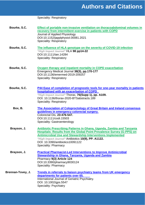|                   | <b>Speciality: Respiratory</b>                                                                                                                                                                                                                                                                                                                        |
|-------------------|-------------------------------------------------------------------------------------------------------------------------------------------------------------------------------------------------------------------------------------------------------------------------------------------------------------------------------------------------------|
| Bourke, S.C.      | Effect of portable non-invasive ventilation on thoracoabdominal volumes in<br>recovery from intermittent exercise in patients with COPD<br>Journal of Applied Physiology<br>DOI:10.1152/japplphysiol.00081.2021<br><b>Speciality: Respiratory</b>                                                                                                     |
| Bourke, S.C.      | The influence of HLA genotype on the severity of COVID-19 infection<br>*High Impact Journal* HLA 98 pp14-22<br>DOI:10.1111/tan.14284<br><b>Speciality: Respiratory</b>                                                                                                                                                                                |
| Bourke, S.C.      | Oxygen therapy and inpatient mortality in COPD exacerbation<br>Emergency Medical Journal 38(3), pp.170-177<br>DOI:10.1136/emermed-2019-209257<br><b>Speciality: Respiratory</b>                                                                                                                                                                       |
| Bourke, S.C.      | P44 Ease of completion of prognostic tools for one-year mortality in patients<br>hospitalised with an exacerbation of COPD<br>*High Impact Journal* Thorax, 76(Supp 1), pp. A109.<br>DOI: 10.1136/thorax-2020-BTSabstracts.189<br><b>Speciality: Respiratory</b>                                                                                      |
| Box, B.           | The Association of Coloproctology of Great Britain and Ireland consensus<br>guidelines in emergency colorectal surgery.<br>Colorectal Dis, 23:476-547.<br>DOI:10.1111/codi.15503<br>Speciality: Gastroenterology                                                                                                                                      |
| Brayson, J.       | Antibiotic Prescribing Patterns in Ghana, Uganda, Zambia and Tanzania<br><b>Hospitals: Results from the Global Point Prevalence Survey (G-PPS) on</b><br><b>Antimicrobial Use and Stewardship Interventions Implemented</b><br>*High Impact Journal* Antibiotics 10(9), PP. A1122.<br>DOI: 10.3390/antibiotics10091122<br><b>Speciality: Pharmacy</b> |
| Brayson, J.       | <b>Practical Pharmacist-Led Interventions to Improve Antimicrobial</b><br><b>Stewardship in Ghana, Tanzania, Uganda and Zambia</b><br>Pharmacy 9(3) Article 124<br>DOI:10.3390/pharmacy9030124<br><b>Speciality: Pharmacy</b>                                                                                                                         |
| Brennan-Tovey, J. | <b>Trends in referrals to liaison psychiatry teams from UK emergency</b><br>departments for patients over 65.<br>International Journal of Geriatric Psychiatry.<br>DOI: 10.1002/gps.5547<br>Speciality: Psychiatry                                                                                                                                    |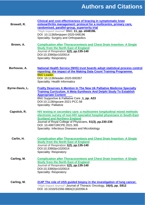| Browell, R.            | Clinical and cost-effectiveness of bracing in symptomatic knee<br>osteoarthritis management: protocol for a multicentre, primary care,<br>randomised, parallel-group, superiority trial<br>*High Impact Journal* BMJ, 11, pp. e048196.<br>DOI: 10.1136/bmjopen-2020-048196<br>Speciality: Surgery and Orthopaedics                           |
|------------------------|----------------------------------------------------------------------------------------------------------------------------------------------------------------------------------------------------------------------------------------------------------------------------------------------------------------------------------------------|
| Brown, A.              | <b>Complication after Thoracocentesis and Chest Drain Insertion: A Single</b><br><b>Study from the North East of England</b><br>Journal of Respiration 1(2), pp.135-140<br>DOI:10.3390/jor1020014<br><b>Speciality: Respiratory</b>                                                                                                          |
| Burhouse, A.           | <b>National Health Service (NHS) trust boards adopt statistical process control</b><br>reporting: the impact of the Making Data Count Training Programme.<br><b>BMJ Leader.</b><br>DOI: 10.1136/leader-2020-000357<br>Speciality: Health Informatics                                                                                         |
| <b>Byrne-Davis, L.</b> | <b>Frailty Deserves A Mention In The New Uk Palliative Medicine Specialty</b><br><b>Training Curriculum. A Meta-Synthesis And Delphi Study To Establish</b><br><b>Appropriate Content</b><br>BMJ Supportive & Palliative Care, 1, pp. A23<br>DOI:10.1136/spcare-2021-PCC.58<br><b>Speciality: Palliative</b>                                 |
| Capstick, R.           | HIV testing in secondary care: a multicentre longitudinal mixed methods<br>electronic survey of non-HIV specialist hospital physicians in South-East<br><b>Scotland and Northern England</b><br>Journal of Royal College of Physicians, 51(3), pp.230-236<br>DOI: 10.4997/JRCPE.2021.305<br>Speciality: Infectious Diseases and Microbiology |
| Carlin, H.             | <b>Complication after Thoracocentesis and Chest Drain Insertion: A Single</b><br><b>Study from the North East of England</b><br>Journal of Respiration 1(2), pp.135-140<br>DOI:10.3390/jor1020014<br><b>Speciality: Respiratory</b>                                                                                                          |
| Carling, M.            | <b>Complication after Thoracocentesis and Chest Drain Insertion: A Single</b><br><b>Study from the North East of England</b><br>Journal of Respiration 1(2), pp.135-140<br>DOI:10.3390/jor1020014<br><b>Speciality: Respiratory</b>                                                                                                          |
| Carling, M.            | 214P The role of USS guided biopsy in the investigation of lung cancer.<br>*High Impact Journal* Journal of Thoracic Oncology, 16(4), pp. S812<br>DOI: 10.1016/S1556-0864(21)02056-6                                                                                                                                                         |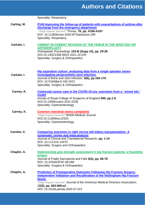|             | <b>Speciality: Respiratory</b>                                                                                                                                                                                                                                                                                        |
|-------------|-----------------------------------------------------------------------------------------------------------------------------------------------------------------------------------------------------------------------------------------------------------------------------------------------------------------------|
| Carling, M. | P145 Improving the follow-up of patients with exacerbations of asthma after<br>discharge from the emergency department<br>*High Impact Journal* Thorax, 76, pp. A166-A167<br>DOI: 10.1136/thorax-2020-BTSabstracts.290<br><b>Speciality: Respiratory</b>                                                              |
| Carluke, I. | <b>CEMENT-IN-CEMENT REVISION OF THE FEMUR IN THE INFECTED HIP</b><br><b>ARTHROPLASTY</b><br>Orthopaedic Proceedings 103-B (Supp 10), pp. 29-29<br>DOI:10.1302/1358-992X.2021.10.029<br>Speciality: Surgery & Orthopaedics                                                                                             |
| Carluke, I. | Hip aspiration culture: analysing data from a single operator series<br>investigating periprosthetic joint infection.<br>Journal of Bone and Joint Infection, 6(6), pp.165-170.<br>DOI: 10.5194/jbji-6-165-2021<br>Speciality: Surgery & Orthopaedics                                                                 |
| Carney, K.  | Colorectal cancer care in the COVID-19 era: outcomes from a ' mixed site '<br>model<br>Annals of Royal College of Surgeons of England 000, pp.1-8<br>DOI:10.1308/rcsann.2021.0236<br>Speciality: Gastroenterology                                                                                                     |
| Carney, K.  | <b>Common intestinal stoma complaints</b><br>*High Impact Journal* British Medical Journal<br>DOI:10.1136/bmj.n2310<br>Speciality: Gastroenterology                                                                                                                                                                   |
| Carolan, C. | <b>Comparing outcomes in right versus left kidney transplantation: A</b><br>systematic review and meta-analysis<br>Journal of Clinical and Translational Research, pp. 1-14<br>DOI: 10.1111/ctr.14475<br>Speciality: Surgery and Orthopaedics                                                                         |
| Chaplin, A. | Implementing grip strength assessment in hip fracture patients: a feasibility<br>project<br>Journal of Frailty Sarcopenia and Falls 6(2), pp. 66-78<br>DOI: 10.22540/JFSF-06-066<br>Speciality: Surgery & Orthopaedics                                                                                                |
| Chaplin, A. | <b>Prediction of Postoperative Outcomes Following Hip Fracture Surgery:</b><br><b>Independent Validation and Recalibration of the Nottingham Hip Fracture</b><br>Score.<br>*High Impact Journal* Journal of the American Medical Directors Association,<br>22(3), pp. 663-669.e2.<br>DOI: 10.1016/j.jamda.2020.07.013 |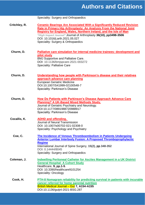|               | Speciality: Surgery and Orthopaedics                                                                                                                                                                                                                                                                                                                                      |
|---------------|---------------------------------------------------------------------------------------------------------------------------------------------------------------------------------------------------------------------------------------------------------------------------------------------------------------------------------------------------------------------------|
| Critchley, R. | <b>Ceramic Bearings Are Associated With a Significantly Reduced Revision</b><br>Rate in Primary Hip Arthroplasty: An Analysis From the National Joint<br>Registry for England, Wales, Northern Ireland, and the Isle of Man<br>*High Impact Journal* Journal of Arthroplasty 36(10), pp3498-3506<br>DOI: 10.1016/j.arth.2021.05.027<br>Speciality: Surgery & Orthopaedics |
| Churm, D.     | Palliative care simulation for internal medicine trainees: development and<br>pilot study<br><b>BMJ Supportive and Palliative Care.</b><br>DOI: 10.1136/bmjspcare-2021-003272<br><b>Speciality: Palliative Care</b>                                                                                                                                                       |
| Churm, D.     | <u>Understanding how people with Parkinson's disease and their relatives</u><br>approach advance care planning<br><b>European Geriatric Medicine</b><br>DOI:10.1007/S41999-02100548-7<br><b>Speciality: Parkinson's Disease</b>                                                                                                                                           |
| Churm, D.     | <b>How Do Patients with Parkinson's Disease Approach Advance Care</b><br><b>Planning? A UK-Based Mixed Methods Study.</b><br>Journal of Geriatric Psychiatry and Neurology.<br>DOI:10.1177/0891988720988917<br><b>Speciality: Parkinson's Disease</b>                                                                                                                     |
| Cocallis, K.  | <b>ADHD and offending.</b><br>Journal of Neural Transmission<br>DOI: 10.1007/s00702-021-02308-0<br>Speciality: Psychology and Psychiatry                                                                                                                                                                                                                                  |
| Coe, C.       | The Incidence of Venous Thromboembolism in Patients Undergoing<br><b>Anterior Lumbar Interbody Fusion: A Proposed Thromboprophylactic</b><br><b>Regime</b><br>International Journal of Spine Surgery, 15(2), pp.348-352<br>DOI: 0.14444/8045<br>Speciality: Surgery and Orthopaedics                                                                                      |
| Coleman, J.   | Indwelling Peritoneal Catheter for Ascites Management in a UK District<br><b>General Hospital: A Cohort Study</b><br>Healthcare, 9, pp.1-5.<br>DOI: 10.3390/healthcare9101254<br>Speciality: Oncology                                                                                                                                                                     |
| Cook, H.      | PTH-8 Nomagram reliability for predicting survival in patients with incurable<br>cancer referred for home parental nutrition<br>British Medical Journal - Gut 7, A154-A155<br>DOI:10.1136/gutjnl-2021-BSG.287                                                                                                                                                             |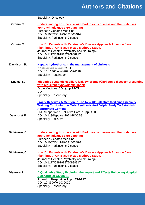Speciality: Oncology

| Cronin, T.    | Understanding how people with Parkinson's disease and their relatives<br>approach advance care planning<br><b>European Geriatric Medicine</b><br>DOI:10.1007/S41999-02100548-7<br><b>Speciality: Parkinson's Disease</b>                                                                                     |
|---------------|--------------------------------------------------------------------------------------------------------------------------------------------------------------------------------------------------------------------------------------------------------------------------------------------------------------|
| Cronin, T.    | <b>How Do Patients with Parkinson's Disease Approach Advance Care</b><br><b>Planning? A UK-Based Mixed Methods Study.</b><br>Journal of Geriatric Psychiatry and Neurology.<br>DOI:10.1177/0891988720988917<br><b>Speciality: Parkinson's Disease</b>                                                        |
| Davidson, R.  | <b>Hepatic hydrothorax in the management of cirrhosis</b><br>*High Impact Journal* Gut<br>DOI: 10.1136/gutjnl-2021-324698<br><b>Speciality: Respiratory</b>                                                                                                                                                  |
| Davies, K.    | Idiopathic systemic capillary leak syndrome (Clarkson's disease) presenting<br>with recurrent hypovolemic shock<br>Acute Medicine, 20(1), pp.74-77.<br>DOI:<br>Speciality: Respiratory                                                                                                                       |
| Dewhurst F.   | <b>Frailty Deserves A Mention In The New Uk Palliative Medicine Specialty</b><br><b>Training Curriculum. A Meta-Synthesis And Delphi Study To Establish</b><br><b>Appropriate Content</b><br>BMJ Supportive & Palliative Care, 1, pp. A23<br>DOI:10.1136/spcare-2021-PCC.58<br><b>Speciality: Palliative</b> |
| Dickinson, C. | Understanding how people with Parkinson's disease and their relatives<br>approach advance care planning<br><b>European Geriatric Medicine</b><br>DOI:10.1007/S41999-02100548-7<br><b>Speciality: Parkinson's Disease</b>                                                                                     |
| Dickinson, C. | <b>How Do Patients with Parkinson's Disease Approach Advance Care</b><br><b>Planning? A UK-Based Mixed Methods Study.</b><br>Journal of Geriatric Psychiatry and Neurology.<br>DOI:10.1177/0891988720988917<br><b>Speciality: Parkinson's Disease</b>                                                        |
| Dismore, L.L. | A Qualitative Study Exploring the Impact and Effects Following Hospital<br><b>Discharge of COVID-19</b><br>Journal of Respiration 1, pp. 216-222<br>DOI: 10.3390/jor1030020<br>Speciality: Respiratory                                                                                                       |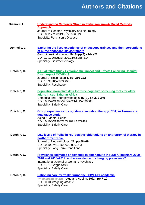| Dismore, L.L. | <b>Understanding Caregiver Strain in Parkinsonism-A Mixed Methods</b><br><b>Approach</b><br>Journal of Geriatric Psychiatry and Neurology<br>DOI:10.1177/0891988721996819<br>Specialty: Parkinson's Disease                                                      |
|---------------|------------------------------------------------------------------------------------------------------------------------------------------------------------------------------------------------------------------------------------------------------------------|
| Donnelly, L.  | <b>Exploring the lived experience of endoscopy trainees and their perceptions</b><br>of nurse endoscopists as trainers<br>Gastrointestinal Nursing 19 (Supp 8) s14- s21<br>DOI: 10.12968/gasn.2021.19.Sup8.S14<br><b>Speciality: Gastroenterology</b>            |
| Dotchin, C.   | A Qualitative Study Exploring the Impact and Effects Following Hospital<br><b>Discharge of COVID-19</b><br>Journal of Respiration 1, pp. 216-222<br>DOI: 10.3390/jor1030020<br><b>Speciality: Respiratory</b>                                                    |
| Dotchin, C.   | Population normative data for three cognitive screening tools for older<br>adults in sub-Saharan Africa<br>Dementia and Neuropsychologia 15 (3), pp.339-349<br>DOI:10.1590/1980-57642021dn15-030005<br><b>Speciality: Elderly Care</b>                           |
| Dotchin, C.   | <b>Group experiences of cognitive stimulation therapy (CST) in Tanzania: a</b><br>qualitative study.<br>Aging & Mental Health,<br>DOI:10.1080/13607863.2021.1872489<br><b>Speciality: Elderly Care</b>                                                           |
| Dotchin, C.   | Low levels of frailty in HIV-positive older adults on antiretroviral therapy in<br>northern Tanzania.<br>Journal of NeuroVirology, 27, pp.58-69<br>DOI:10.1007/s13365-020-00915-3<br><b>Speciality: Long Term Conditions</b>                                     |
| Dotchin, C.   | Prevalence estimates of dementia in older adults in rural Kilimanjaro 2009-<br>2010 and 2018-2019: is there evidence of changing prevalence?<br><b>International Journal of Geriatric Psychiatry</b><br>DOI: 10.1002/gps.5498<br><b>Speciality: Elderly Care</b> |
| Dotchin, C.   | <b>Rationing care by frailty during the COVID-19 pandemic.</b><br>*High Impact Journal* Age and Ageing, 50(1), pp.7-10<br>DOI:10.1093/ageing/afaa171<br><b>Speciality: Elderly Care</b>                                                                          |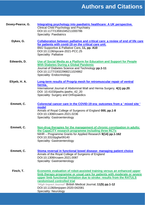| Dovey-Pearce, G. | Integrating psychology into paediatric healthcare: A UK perspective.<br>Clinical Child Psychology and Psychiatry<br>DOI:10.1177/13591045211000786<br><b>Speciality: Paediatrics</b>                                                                                                                                                                                                               |
|------------------|---------------------------------------------------------------------------------------------------------------------------------------------------------------------------------------------------------------------------------------------------------------------------------------------------------------------------------------------------------------------------------------------------|
| Dykes, G.        | Collaboration between palliative and critical care: a review of end of life care<br>for patients with covid-19 on the critical care unit.<br>BMJ Supportive & Palliative Care, 11, pp. A10<br>DOI:10.1136/spcare-2021-PCC.25<br><b>Speciality: Palliative</b>                                                                                                                                     |
| Edwards, D.      | Use of Social Media as a Platform for Education and Support for People<br><b>With Diabetes During a Global Pandemic</b><br>Journal of Diabetes Science and Technology pp.1-11<br>DOI:10.1177/19322968211024862<br>Speciality: Endocrinology                                                                                                                                                       |
| Eltyeb, H. A.    | Long-term results of Progrip mesh for retromuscular repair of ventral<br>hernia.<br>International Journal of Abdominal Wall and Hernia Surgery, 4(1) pp.20.<br>DOI: 10.4103/ijawhs.ijawhs_42_20<br>Speciality: Surgery and Orthopaedics                                                                                                                                                           |
| Emmett, C.       | Colorectal cancer care in the COVID-19 era: outcomes from a ' mixed site '<br>model<br>Annals of Royal College of Surgeons of England 000, pp.1-8<br>DOI:10.1308/rcsann.2021.0236<br>Speciality: Gastroenterology                                                                                                                                                                                 |
| Emmett, C.       | Non-drug therapies for the management of chronic constipation in adults:<br>the CapaCiTY research programme including three RCTs<br>NIHR - Programme Grants for Applied Research 9(14) pp.1-162<br>DOI:10.3310/pgfar09140<br>Speciality: Gastroenterology                                                                                                                                         |
| Emmett, C.       | Stoma reversal in functional bowel disease: managing patient choice<br>Annals of the Royal College of Surgeons of England<br>DOI:10.1308/rcsann.2021.0087<br>Speciality: Gastroenterology                                                                                                                                                                                                         |
| Finch, T.        | Economic evaluation of robot-assisted training versus an enhanced upper<br>limb therapy programme or usual care for patients with moderate or severe<br>upper limb functional limitation due to stroke: results from the RATULS<br>randomised controlled trial<br>*High Impact Journal* British Medical Journal, 11(5) pp.1-12<br>DOI:10.1136/bmjopen-2020-042081<br><b>Speciality: Neurology</b> |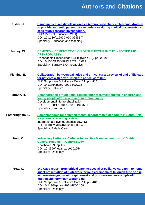| Fisher, J.       | Using medical reality television as a technology-enhanced learning strategy<br>to provide authentic patient care experiences during clinical placements: a<br>case study research investigation.<br><b>BMC Medical Education, 21(1)</b><br>DOI: 10.1186/s12909-020-02432-7<br>Speciality: Education and teaching |
|------------------|------------------------------------------------------------------------------------------------------------------------------------------------------------------------------------------------------------------------------------------------------------------------------------------------------------------|
| Fishley, W.      | <b>CEMENT-IN-CEMENT REVISION OF THE FEMUR IN THE INFECTED HIP</b><br><b>ARTHROPLASTY</b><br>Orthopaedic Proceedings 103-B (Supp 10), pp. 29-29<br>DOI:10.1302/1358-992X.2021.10.029<br>Speciality: Surgery & Orthopaedics                                                                                        |
| Fleming, E.      | Collaboration between palliative and critical care: a review of end of life care<br>for patients with covid-19 on the critical care unit.<br>BMJ Supportive & Palliative Care, 11, pp. A10<br>DOI:10.1136/spcare-2021-PCC.25<br><b>Speciality: Palliative</b>                                                    |
| Forsyth, R.      | Demonstration of functional rehabilitation treatment effects in children and<br>young people after severe acquired brain injury<br>Developmental Neurorehabilitation<br>DOI: 10.1080/17518423.2021.1964631<br><b>Speciality: Neurology</b>                                                                       |
| Fotheringham, L. | Screening tools for common mental disorders in older adults in South Asia:<br>a systematic scoping review<br>International Psychogeriatrics pp.1-12<br>DOI:10.1017/S1041610220003804<br><b>Speciality: Elderly Care</b>                                                                                          |
| Frew, K.         | <b>Indwelling Peritoneal Catheter for Ascites Management in a UK District</b><br><b>General Hospital: A Cohort Study</b><br>Healthcare, 9, pp.1-5.<br>DOI: 10.3390/healthcare9101254<br><b>Speciality: Oncology</b>                                                                                              |

**Frew, K. [140 Case report: from critical care, to specialist palliative care unit, to home.](https://spcare.bmj.com/content/bmjspcare/11/Suppl_1/A60.full.pdf)  [Initial presentation of high-grade serous carcinoma of fallopian tube origin](https://spcare.bmj.com/content/bmjspcare/11/Suppl_1/A60.full.pdf)  [as dermatomyositis with rapid onset and progression: an example of](https://spcare.bmj.com/content/bmjspcare/11/Suppl_1/A60.full.pdf)  [multidisciplinary team working](https://spcare.bmj.com/content/bmjspcare/11/Suppl_1/A60.full.pdf) du.**  BMJ Supportive & Palliative Care, **11, pp. A60.** DOI:10.1136/spcare-2021-PCC.158 Speciality: Oncology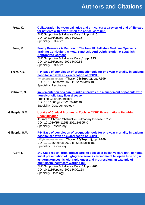| Frew, K.        | Collaboration between palliative and critical care: a review of end of life care<br>for patients with covid-19 on the critical care unit.<br>BMJ Supportive & Palliative Care, 11, pp. A10<br>DOI:10.1136/spcare-2021-PCC.25<br><b>Speciality: Palliative</b>                                                                                                                                     |
|-----------------|---------------------------------------------------------------------------------------------------------------------------------------------------------------------------------------------------------------------------------------------------------------------------------------------------------------------------------------------------------------------------------------------------|
| Frew, K.        | <b>Frailty Deserves A Mention In The New Uk Palliative Medicine Specialty</b><br><b>Training Curriculum. A Meta-Synthesis And Delphi Study To Establish</b><br><b>Appropriate Content</b><br>BMJ Supportive & Palliative Care, 1, pp. A23<br>DOI:10.1136/spcare-2021-PCC.58<br><b>Speciality: Palliative</b>                                                                                      |
| Frew, K.E.      | P44 Ease of completion of prognostic tools for one-year mortality in patients<br>hospitalised with an exacerbation of COPD<br>*High Impact Journal* Thorax, 76(Supp 1), pp. A109.<br>DOI: 10.1136/thorax-2020-BTSabstracts.189<br><b>Speciality: Respiratory</b>                                                                                                                                  |
| Galbraith, S.   | Implementation of a care bundle improves the management of patients with<br>non-alcoholic fatty liver disease.<br><b>Frontline Gastroenterology</b><br>DOI: 10.1136/flgastro-2020-101480<br>Speciality: Gastroenterology                                                                                                                                                                          |
| Gillespie, S.M. | <b>Uptake of Clinical Prognostic Tools in COPD Exacerbations Requiring</b><br><b>Hospitalisation</b><br>Journal of Chronic Obstructive Pulmonary Disease pp1-5<br>DOI: 10.1080/15412555.2021.1959540<br><b>Speciality: Respiratory</b>                                                                                                                                                            |
| Gillespie, S.M. | P44 Ease of completion of prognostic tools for one-year mortality in patients<br>hospitalised with an exacerbation of COPD<br>*High Impact Journal* Thorax, 76(Supp 1), pp. A109.<br>DOI: 10.1136/thorax-2020-BTSabstracts.189<br><b>Speciality: Respiratory</b>                                                                                                                                  |
| Goff, I.        | 140 Case report: from critical care, to specialist palliative care unit, to home.<br>Initial presentation of high-grade serous carcinoma of fallopian tube origin<br>as dermatomyositis with rapid onset and progression: an example of<br>multidisciplinary team working du.<br>BMJ Supportive & Palliative Care, 11, pp. A60.<br>DOI:10.1136/spcare-2021-PCC.158<br><b>Speciality: Oncology</b> |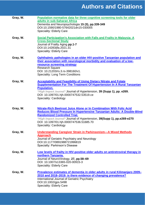| Gray, W. | Population normative data for three cognitive screening tools for older<br>adults in sub-Saharan Africa<br>Dementia and Neuropsychologia 15 (3), pp.339-349<br>DOI:10.1590/1980-57642021dn15-030005<br><b>Speciality: Elderly Care</b>                                                                                                |
|----------|---------------------------------------------------------------------------------------------------------------------------------------------------------------------------------------------------------------------------------------------------------------------------------------------------------------------------------------|
| Gray, W. | Social Participation's Association with Falls and Frailty in Malaysia: A<br><b>Cross-Sectional Study</b><br>Journal of Frailty Aging pp.1-7<br>DOI:10.14283/jfa.2021.31<br><b>Speciality: Elderly Care</b>                                                                                                                            |
| Gray, W. | Ophthalmic pathologies in an older HIV-positive Tanzanian population and<br>their association with neurological morbidity and evaluation of a low-<br>resource screening strategy<br><b>Research Square</b><br>DOI: 10.21203/rs.3.rs-398160/v1.<br><b>Speciality: Long Term Conditions</b>                                            |
| Gray, W. | <b>Acceptability and Feasibility of Using Dietary Nitrate and Folate</b><br><b>Supplementation For The Treatment Of Hypertension In A Rural Tanzanian</b><br><b>Population.</b><br>*High Impact Journal* Journal of Hypertension, 39 (Supp 1), pp. e269.<br>DOI: 10.1097/01.hjh.0000747532.53519.ce<br><b>Speciality: Cardiology</b>  |
| Gray, W. | Nitrate-Rich Beetroot Juice Alone or In Combination With Folic Acid<br>Reduces Blood Pressure In Hypertensive Tanzanian Adults: A Double-Blind<br><b>Randomized Controlled Trial.</b><br>*High Impact Journal* Journal of Hypertension, 39(Supp 1), pp.e269-e270<br>DOI: 10.1097/01.hjh.0000747536.51685.70<br>Speciality: Cardiology |
| Gray, W. | <b>Understanding Caregiver Strain in Parkinsonism-A Mixed Methods</b><br><b>Approach</b><br>Journal of Geriatric Psychiatry and Neurology<br>DOI:10.1177/0891988721996819<br><b>Specialty: Parkinson's Disease</b>                                                                                                                    |
| Gray, W. | Low levels of frailty in HIV-positive older adults on antiretroviral therapy in<br>northern Tanzania.<br>Journal of NeuroVirology, 27, pp.58-69<br>DOI: 10.1007/s13365-020-00915-3<br><b>Speciality: Elderly Care</b>                                                                                                                 |
| Gray, W. | Prevalence estimates of dementia in older adults in rural Kilimanjaro 2009-<br>2010 and 2018-2019: is there evidence of changing prevalence?<br>International Journal of Geriatric Psychiatry<br>DOI:10.1002/gps.5498<br><b>Speciality: Elderly Care</b>                                                                              |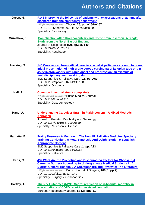| Green, N.    | P145 Improving the follow-up of patients with exacerbations of asthma after<br>discharge from the emergency department<br>*High Impact Journal* Thorax, 76, pp. A166-A167.<br>DOI: 10.1136/thorax-2020-BTSabstracts.290<br><b>Speciality: Respiratory</b>                                                                                                                                  |
|--------------|--------------------------------------------------------------------------------------------------------------------------------------------------------------------------------------------------------------------------------------------------------------------------------------------------------------------------------------------------------------------------------------------|
| Grimshaw, E. | <b>Complication after Thoracocentesis and Chest Drain Insertion: A Single</b><br><b>Study from the North East of England</b><br>Journal of Respiration 1(2), pp.135-140<br>DOI:10.3390/jor1020014<br>Speciality: Respiratory                                                                                                                                                               |
| Hacking, S.  | 140 Case report: from critical care, to specialist palliative care unit, to home.<br>Initial presentation of high-grade serous carcinoma of fallopian tube origin<br>as dermatomyositis with rapid onset and progression: an example of<br>multidisciplinary team working du.<br>BMJ Supportive & Palliative Care, 11, pp. A60.<br>DOI:10.1136/spcare-2021-PCC.158<br>Speciality: Oncology |
| Hall, J.     | <b>Common intestinal stoma complaints</b><br>*High Impact Journal* British Medical Journal<br>DOI:10.1136/bmj.n2310<br>Speciality: Gastroenterology                                                                                                                                                                                                                                        |
| Hand, A.     | <b>Understanding Caregiver Strain in Parkinsonism-A Mixed Methods</b><br><b>Approach</b><br>Journal of Geriatric Psychiatry and Neurology<br>DOI:10.1177/0891988721996819<br><b>Specialty: Parkinson's Disease</b>                                                                                                                                                                         |
| Hanratty, B. | <b>Frailty Deserves A Mention In The New Uk Palliative Medicine Specialty</b><br><b>Training Curriculum. A Meta-Synthesis And Delphi Study To Establish</b><br><b>Appropriate Content</b><br>BMJ Supportive & Palliative Care, 1, pp. A23<br>DOI:10.1136/spcare-2021-PCC.58<br><b>Speciality: Palliative</b>                                                                               |
| Harris, C.   | 432 What Are the Promoting and Discouraging Factors for Choosing A<br><b>Career in Surgery According to Undergraduate Medical Students in A</b><br>District General Hospital? A Questionnaire and Review of The Literature.<br>*High Impact Journal* British Journal of Surgery, 108(Supp 2).<br>DOI: 10.1093/bjs/znab134.141<br>Speciality: Surgery & Orthopaedics                        |
| Hartley, T.  | The NIV Outcomes (NIVO) Score: prediction of in-hospital mortality in<br>exacerbations of COPD requiring assisted ventilation<br>European Respiratory Journal 58 (2), pp1-11                                                                                                                                                                                                               |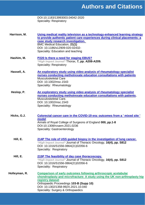DOI:10.1183/13993003.04042-2020 Speciality: Respiratory

- **Harrison, M. [Using medical reality television as a technology-enhanced learning strategy](https://bmcmededuc.biomedcentral.com/track/pdf/10.1186/s12909-020-02432-7.pdf)  [to provide authentic patient care experiences during clinical placements: a](https://bmcmededuc.biomedcentral.com/track/pdf/10.1186/s12909-020-02432-7.pdf)  [case study research investigation.](https://bmcmededuc.biomedcentral.com/track/pdf/10.1186/s12909-020-02432-7.pdf)** BMC Medical Education, **21(1)** DOI: 10.1186/s12909-020-02432- Speciality: Education and teaching
- **Hashim, M. P220 [Is there a need for staging EBUS?](https://thorax.bmj.com/content/thoraxjnl/76/Suppl_1/A208.2.full.pdf)** *\*High Impact Journal\** Thorax, **7, pp. A208-A209.** Speciality: Respiratory
- **Hassell, A. [An exploratory study using video analysis of rheumatology specialist](https://onlinelibrary.wiley.com/doi/epdf/10.1002/msc.1543?saml_referrer)  [nurses conducting methotrexate education consultations with patients](https://onlinelibrary.wiley.com/doi/epdf/10.1002/msc.1543?saml_referrer)** Musculoskeletal Care DOI: 10.1002/msc.1543 Speciality: Rheumatology
- **Heslop, P. [An exploratory study using video analysis of rheumatology specialist](https://onlinelibrary.wiley.com/doi/10.1002/msc.1543)  [nurses conducting methotrexate education consultations with patients.](https://onlinelibrary.wiley.com/doi/10.1002/msc.1543)** Musculoskeletal Care. DOI: 10.1002/msc.1543 Speciality: Rheumatology
- **Hicks, G.J. [Colorectal cancer care in the COVID-19 era: outcomes from a ' mixed site '](https://publishing.rcseng.ac.uk/doi/abs/10.1308/rcsann.2021.0236)  [model](https://publishing.rcseng.ac.uk/doi/abs/10.1308/rcsann.2021.0236)** Annals of Royal College of Surgeons of England **000, pp.1-8** DOI:10.1308/rcsann.2021.0236 Speciality: Gastroenterology
	- **Hill, E. [214P The role of USS guided biopsy in the investigation of lung cancer.](https://www.jto.org/article/S1556-0864(21)02057-8/pdf)** *\*High Impact Journal\** Journal of Thoracic Oncology, **16(4), pp. S812** DOI: 10.1016/S1556-0864(21)02056-6 Speciality: Respiratory
	- **Hill, E. [215P The feasibility of day case thoracoscopy.](https://www.jto.org/article/S1556-0864(21)02057-8/pdf)** *\*High Impact Journal\** Journal of Thoracic Oncology, **16(4), pp. S812** DOI: 10.1016/S1556-0864(21)02056-6 Speciality: Respiratory
- **Holleyman, R. [Comparison of early outcomes following arthroscopic acetabular](https://online.boneandjoint.org.uk/doi/abs/10.1302/1358-992X.2021.10.040)  [chondroplasty and microfracture: A study using the UK non-arthroplasty hip](https://online.boneandjoint.org.uk/doi/abs/10.1302/1358-992X.2021.10.040)  [registry dataset](https://online.boneandjoint.org.uk/doi/abs/10.1302/1358-992X.2021.10.040)** Orthopaedic Proceedings **103-B (Supp 10)** DOI: 10.1302/1358-992X.2021.10.040 Speciality: Surgery & Orthopaedics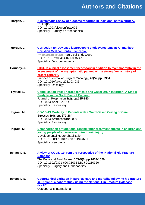| Horgan, L.  | A systematic review of outcome reporting in incisional hernia surgery.<br><b>BSJ, 5(2)</b><br>DOI: 10.1093/bjsopen/zrab006<br>Speciality: Surgery & Orthopaedics                                                                                                                            |
|-------------|---------------------------------------------------------------------------------------------------------------------------------------------------------------------------------------------------------------------------------------------------------------------------------------------|
| Horgan, L.  | Correction to: Day case Iaparoscopic cholecystectomy at Kilimanjaro<br><b>Christian Medical Centre, Tanzania.</b><br>*High Impact Journal* Surgical Endoscopy<br>DOI: 10.1007/s00464-021-08324-1<br>Speciality: Gastroenterology                                                            |
| Hornsby, J. | P031. Is clinical assessment necessary in addition to mammography in the<br>assessment of the asymptomatic patient with a strong family history of<br>breast cancer?.<br>European Journal of Surgical Oncology, 47(5), pp. e304.<br>DOI: 10.1016/j.ejso.2021.03.035<br>Speciality: Oncology |
| Hyatali, S. | <b>Complication after Thoracocentesis and Chest Drain Insertion: A Single</b><br><b>Study from the North East of England</b><br>Journal of Respiration 1(2), pp.135-140<br>DOI:10.3390/jor1020014<br><b>Speciality: Respiratory</b>                                                         |
| Ingram, M.  | <b>COVID-19 Mortality in Patients with a Ward-Based Ceiling of Care</b><br>Stresses 1(4), pp. 277-284<br>DOI:10.3390/stresses1040020<br><b>Speciality: Respiratory</b>                                                                                                                      |
| Ingram, M.  | Demonstration of functional rehabilitation treatment effects in children and<br>young people after severe acquired brain injury<br>Developmental Neurorehabilitation<br>DOI: 10.1080/17518423.2021.1964631<br>Speciality: Neurology                                                         |
| Inman, D.S. | A view of COVID-19 from the perspective of the National Hip Fracture<br><b>Database</b><br>The Bone and Joint Journal 103-B(6) pp.1007-1020<br>DOI: 10.1302/0301-620X.103B6.BJJ-20210326<br>Speciality: Surgery and Orthopaedics                                                            |
| Inman, D.S. | Geographical variation in surgical care and mortality following hip fracture<br>in England: a cohort study using the National Hip Fracture Database<br>(NHFD).<br>Osteoporosis International                                                                                                |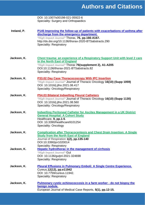|             | DOI: 10.1007/s00198-021-05922-6<br>Speciality: Surgery and Orthopaedics                                                                                                                                                                                               |
|-------------|-----------------------------------------------------------------------------------------------------------------------------------------------------------------------------------------------------------------------------------------------------------------------|
| Ireland, P. | P145 Improving the follow-up of patients with exacerbations of asthma after<br>discharge from the emergency department.<br>*High Impact Journal* Thorax, 76, pp.166-A167.<br>http://dx.doi.org/10.1136/thorax-2020-BTSabstracts.290<br><b>Speciality: Respiratory</b> |
| Jackson, K. | <b>Chest trauma: an experience of a Respiratory Support Unit with level 2 care</b><br>in the North East of England<br>*High Impact Journal* Thorax 76(supplement 2), A1-A205<br>DOI:10.1136/thorax-2021-BTSabstracts.82<br><b>Speciality: Respiratory</b>             |
| Jackson, K. | <b>P33.02 Day Case Thoracocoscopy With IPC Insertion</b><br>*High Impact Journal* Journal of Thoracic Oncology 16(10) (Supp 1059)<br>DOI: 10.1016/j.jtho.2021.08.417<br>Speciality: Oncology/Respiratory                                                              |
| Jackson, K. | P54.03 Bilateral Indwelling Pleural Catheters<br>*High Impact Journal* Journal of Thoracic Oncology 16(10) (Supp 1130)<br>DOI: 10.1016/j.jtho.2021.08.560<br>Speciality: Oncology/Respiratory                                                                         |
| Jackson, K. | <b>Indwelling Peritoneal Catheter for Ascites Management in a UK District</b><br><b>General Hospital: A Cohort Study</b><br>Healthcare, 9, pp.1-5.<br>DOI: 10.3390/healthcare9101254<br>Speciality: Oncology                                                          |
| Jackson, K. | <b>Complication after Thoracocentesis and Chest Drain Insertion: A Single</b><br><b>Study from the North East of England</b><br>Journal of Respiration 1(2), pp.135-140<br>DOI:10.3390/jor1020014<br><b>Speciality: Respiratory</b>                                   |
| Jackson, K. | Hepatic hydrothorax in the management of cirrhosis<br>*High Impact Journal* Gut<br>DOI: 10.1136/gutjnl-2021-324698<br><b>Speciality: Respiratory</b>                                                                                                                  |
| Jackson, K. | <b>Pleural Effusions in Pulmonary Emboli: A Single Centre Experience.</b><br>Cureus, 12(12), pp.e11942<br>DOI: 10.7759/cureus.11942.<br><b>Speciality: Respiratory</b>                                                                                                |
| Jackson, K. | Pulmonary cystic echinococcosis in a farm worker - do not biopsy the<br>benign nodule.<br>European Journal of Medical Case Reports, 5(1), pp.12-15.                                                                                                                   |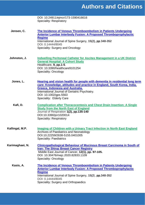|                 | DOI: 10.24911/ejmcr/173-1590416616                                            |
|-----------------|-------------------------------------------------------------------------------|
|                 | <b>Speciality: Respiratory</b>                                                |
|                 |                                                                               |
|                 |                                                                               |
| Jensen, C.      | The Incidence of Venous Thromboembolism in Patients Undergoing                |
|                 | <b>Anterior Lumbar Interbody Fusion: A Proposed Thromboprophylactic</b>       |
|                 | <b>Regime</b>                                                                 |
|                 | International Journal of Spine Surgery, 15(2), pp.348-352                     |
|                 | DOI: 0.14444/8045                                                             |
|                 | Speciality: Surgery and Oncology                                              |
|                 |                                                                               |
|                 |                                                                               |
| Johnston, J.    | <b>Indwelling Peritoneal Catheter for Ascites Management in a UK District</b> |
|                 | <b>General Hospital: A Cohort Study</b>                                       |
|                 | Healthcare, 9, pp.1-5.                                                        |
|                 | DOI: 10.3390/healthcare9101254                                                |
|                 | Speciality: Oncology                                                          |
|                 |                                                                               |
|                 |                                                                               |
| Jones, L.       | Hearing and vision health for people with dementia in residential long term   |
|                 | care: Knowledge, attitudes and practice in England, South Korea, India,       |
|                 | <b>Greece, Indonesia and Australia.</b>                                       |
|                 | International Journal of Geriatric Psychiatry.                                |
|                 | DOI: 10.1002/gps.5563                                                         |
|                 | Speciality: Elderly Care                                                      |
|                 |                                                                               |
| Kafi, D.        | <b>Complication after Thoracocentesis and Chest Drain Insertion: A Single</b> |
|                 | <b>Study from the North East of England</b>                                   |
|                 | Journal of Respiration 1(2), pp.135-140                                       |
|                 | DOI:10.3390/jor1020014                                                        |
|                 | <b>Speciality: Respiratory</b>                                                |
|                 |                                                                               |
|                 |                                                                               |
| Kallingal, M.P. | Imaging of Children with a Urinary Tract Infection in North East England      |
|                 | Archives of Paediatrics and Neonatology                                       |
|                 | DOI:10.22259/2638-5155.0401005                                                |
|                 | <b>Speciality: Paediatrics</b>                                                |
| Karimaghaei, N. | <b>Clinicopathological Behaviour of Mucinous Breast Carcinoma in South of</b> |
|                 | <b>Iran: The Shiraz Breast Cancer Registry</b>                                |
|                 |                                                                               |
|                 | Middle East Journal of Cancer, 12(1), pp. 97-105.                             |
|                 | DOI: 10.30476/mejc.2020.82833.1109                                            |
|                 | <b>Speciality: Oncology</b>                                                   |
| Kasis, A.       | The Incidence of Venous Thromboembolism in Patients Undergoing                |
|                 | <b>Anterior Lumbar Interbody Fusion: A Proposed Thromboprophylactic</b>       |
|                 | <b>Regime</b>                                                                 |
|                 | International Journal of Spine Surgery, 15(2), pp.348-352                     |
|                 | DOI: 0.14444/8045                                                             |
|                 | Speciality: Surgery and Orthopaedics                                          |
|                 |                                                                               |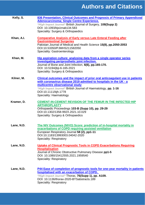| Kelly, S.  | 836 Presentation, Clinical Outcomes and Prognosis of Primary Appendiceal<br><b>Adenocarcinoma; Single Centre Experience.</b><br>*High Impact Journal* British Journal of Surgery, 108(Supp 2)<br>DOI: 10.1093/bjs/znab134.583<br>Speciality: Surgery & Orthopaedics                                       |
|------------|-----------------------------------------------------------------------------------------------------------------------------------------------------------------------------------------------------------------------------------------------------------------------------------------------------------|
| Khan, A.I. | <b>Comparative Analysis of Early versus Late Enteral Feeding after</b><br><b>Gastrointestinal Surgeries</b><br>Pakistan Journal of Medical and Health Science 15(8), pp.2050-2053<br>DOI:10.53350/PJMHS211582050<br>Speciality: Gastroenterology                                                          |
| Khan, M.   | Hip aspiration culture: analysing data from a single operator series<br>investigating periprosthetic joint infection.<br>Journal of Bone and Joint Infection, 6(6), pp.165-170.<br>DOI: 10.5194/jbji-6-165-2021<br>Speciality: Surgery & Orthopaedics                                                     |
| Kilner, M. | Clinical outcomes and the impact of prior oral anticoagulant use in patients<br>with coronavirus disease 2019 admitted to hospitals in the UK - a<br>multicentre observational study<br>*High Impact Journal* British Journal of Haematology, pp. 1-16<br>DOI:10.1111/bjh.1778<br>Speciality: Haematology |
| Kramer, D. | <b>CEMENT-IN-CEMENT REVISION OF THE FEMUR IN THE INFECTED HIP</b><br><b>ARTHROPLASTY</b><br>Orthopaedic Proceedings 103-B (Supp 10), pp. 29-29<br>DOI:10.1302/1358-992X.2021.10.029<br>Speciality: Surgery & Orthopaedics                                                                                 |
| Lane, N.D. | The NIV Outcomes (NIVO) Score: prediction of in-hospital mortality in<br>exacerbations of COPD requiring assisted ventilation<br>European Respiratory Journal 58 (2), pp1-11<br>DOI:10.1183/13993003.04042-2020<br><b>Speciality: Respiratory</b>                                                         |
| Lane, N.D. | Uptake of Clinical Prognostic Tools in COPD Exacerbations Requiring<br><b>Hospitalisation</b><br>Journal of Chronic Obstructive Pulmonary Disease pp1-5<br>DOI: 10.1080/15412555.2021.1959540<br><b>Speciality: Respiratory</b>                                                                           |
| Lane, N.D. | P44 Ease of completion of prognostic tools for one-year mortality in patients<br>hospitalised with an exacerbation of COPD.<br>*High Impact Journal* Thorax, 76(Supp 1), pp. A109.<br>DOI: 10.1136/thorax-2020-BTSabstracts.189<br>Speciality: Respiratory                                                |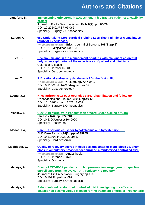| Langford, S.  | Implementing grip strength assessment in hip fracture patients: a feasibility                             |
|---------------|-----------------------------------------------------------------------------------------------------------|
|               | project                                                                                                   |
|               | Journal of Frailty Sarcopenia and Falls 6(2), pp. 66-78<br>DOI: 10.22540/JFSF-06-066                      |
|               | Speciality: Surgery & Orthopaedics                                                                        |
|               |                                                                                                           |
| Larsen, C.    | 959 Undertaking Core Surgical Training Less Than Full Time: A Qualitative<br><b>Study of Experiences.</b> |
|               | *High Impact Journal* British Journal of Surgery, 108(Supp 2)                                             |
|               | DOI: 10.1093/bjs/znab134.183                                                                              |
|               | Speciality: Surgery & Orthopaedics                                                                        |
| Lee, T.       | Decision making in the management of adults with malignant colorectal                                     |
|               | polyps: an exploration of the experiences of patient and clinicians<br><b>Colorectal Disease</b>          |
|               | DOI: 10.1111/codi.15743                                                                                   |
|               | Speciality: Gastroenterology                                                                              |
| Lee, T.       | P12 National endoscopy database (NED): the first million                                                  |
|               | *High Impact Journal* Gut, 70, pp. A47-A48.                                                               |
|               | DOI:10.1136/gutjnl-2020-bsgcampus.87                                                                      |
|               | Speciality: Gastroenterology                                                                              |
| Leong, J.W.   | Knee arthroplasty: post-operative care, rehab-ilitation and follow-up                                     |
|               | Orthopaedics and Trauma, 35(1), pp.49-55                                                                  |
|               | DOI: 10.1016/j.mporth.2021.12.009<br>Speciality: Surgery & Orthopaedics                                   |
|               |                                                                                                           |
| Mackay, L.    | <b>COVID-19 Mortality in Patients with a Ward-Based Ceiling of Care</b>                                   |
|               | Stresses 1(4), pp. 277-284<br>DOI:10.3390/stresses1040020                                                 |
|               | Speciality: Respiratory                                                                                   |
| Madathil A,   | Rare but serious cause for hypokalaemia and hypertension.                                                 |
|               | BMJ Case Reports, 14(3), pp. e239955.                                                                     |
|               | DOI:10.1136/bcr-2020-239955.                                                                              |
|               | Speciality: Cardiovascular                                                                                |
| Madjdpour, C. | <b>Quality of recovery scores in deep serratus anterior plane block vs. sham</b>                          |
|               | block in ambulatory breast cancer surgery: a randomised controlled trial.                                 |
|               | *High Impact Journal* Anaesthesia.<br>DOI: 10.1111/anae.15373                                             |
|               | Speciality: Oncology                                                                                      |
| Malviya, A.   | Effect of COVID-19 pandemic on hip preservation surgery-a prospective                                     |
|               | surveillance from the UK Non-Arthroplasty Hip Registry                                                    |
|               | Journal of Hip Preservation Surgery pp.1-8.                                                               |
|               | DOI:10.1093/jhps/hnab082<br>Speciality: Surgery & Orthopaedics                                            |
|               |                                                                                                           |
| Malviya, A.   | A double-blind randomized controlled trial investigating the efficacy of                                  |
|               | platelet-rich plasma versus placebo for the treatment of greater Trochanteric                             |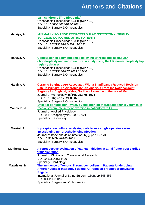|                | pain syndrome (The Hippo trial)<br>Orthopaedic Proceedings 103-B (Supp 10)<br>DOI: 10.1186/s13063-018-2907-x<br>Speciality: Surgery & Orthopaedics                                                                                                                                                                                                                                                                                       |
|----------------|------------------------------------------------------------------------------------------------------------------------------------------------------------------------------------------------------------------------------------------------------------------------------------------------------------------------------------------------------------------------------------------------------------------------------------------|
| Malviya, A.    | <b>MINIMALLY INVASIVE PERIACETABULAR OSTEOTOMY: SINGLE-</b><br><b>SURGEON OUTCOMES OF 369 PATIENTS</b><br>Orthopaedic Proceedings 103-B (Supp 10)<br>DOI: 10.1302/1358-992x2021.10.022<br>Speciality: Surgery & Orthopaedics                                                                                                                                                                                                             |
| Malviya, A.    | <b>Comparison of early outcomes following arthroscopic acetabular</b><br>chondroplasty and microfracture: A study using the UK non-arthroplasty hip<br>registry dataset<br>Orthopaedic Proceedings 103-B (Supp 10)<br>DOI: 10.1302/1358-992X.2021.10.040<br>Speciality: Surgery & Orthopaedics                                                                                                                                           |
| Malviya, A.    | <b>Ceramic Bearings Are Associated With a Significantly Reduced Revision</b><br>Rate in Primary Hip Arthroplasty: An Analysis From the National Joint<br><b>Registry for England, Wales, Northern Ireland, and the Isle of Man</b><br>Journal of Arthroplasty 36(10), pp3498-3506<br>DOI: 10.1016/j.arth.2021.05.027<br>Speciality: Surgery & Orthopaedics<br>Effect of portable non-invasive ventilation on thoracoabdominal volumes in |
| Manifield, J.  | recovery from intermittent exercise in patients with COPD<br>Journal of Applied Physiology<br>DOI:10.1152/japplphysiol.00081.2021<br><b>Speciality: Respiratory</b>                                                                                                                                                                                                                                                                      |
| Marriot, A.    | Hip aspiration culture: analysing data from a single operator series<br>investigating periprosthetic joint infection.<br>Journal of Bone and Joint Infection, 6(6), pp.165-170.<br>DOI: 10.5194/jbji-6-165-2021<br>Speciality: Surgery & Orthopaedics                                                                                                                                                                                    |
| Matthews, I.G. | A retrospective evaluation of catheter ablation in atrial flutter post cardiac<br>transplantation<br>Journal of Clinical and Translational Research<br>DOI:10.1111/ctr.14429<br>Speciality: Cardiology                                                                                                                                                                                                                                   |
| Mawdsley, M.   | The Incidence of Venous Thromboembolism in Patients Undergoing<br><b>Anterior Lumbar Interbody Fusion: A Proposed Thromboprophylactic</b><br><b>Regime</b><br>International Journal of Spine Surgery, 15(2), pp.348-352<br>DOI: 0.14444/8045<br>Speciality: Surgery and Orthopaedics                                                                                                                                                     |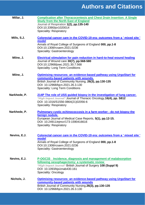| Millar, J.   | <b>Complication after Thoracocentesis and Chest Drain Insertion: A Single</b><br><b>Study from the North East of England</b><br>Journal of Respiration 1(2), pp.135-140<br>DOI:10.3390/jor1020014                                                      |
|--------------|--------------------------------------------------------------------------------------------------------------------------------------------------------------------------------------------------------------------------------------------------------|
| Mills, S.J.  | <b>Speciality: Respiratory</b><br>Colorectal cancer care in the COVID-19 era: outcomes from a ' mixed site '<br>model<br>Annals of Royal College of Surgeons of England 000, pp.1-8                                                                    |
|              | DOI:10.1308/rcsann.2021.0236<br>Speciality: Gastroenterology                                                                                                                                                                                           |
| Milne, J.    | <b>Electrical stimulation for pain reduction in hard-to-heal wound healing</b><br>Journal of Wound care 30(7), pp.568-580<br>DOI:10.12968/jowc.2021.30.7.568<br><b>Speciality: Long Term Conditions</b>                                                |
| Milne, J.    | Optimising resources: an evidence-based pathway using UrgoStart for<br>community-based patients with wounds.<br>British Journal of Community Nursing, 26(3), pp.130-135<br>DOI: 10.12968/bjcn.2021.26.3.130<br><b>Speciality: Long Term Conditions</b> |
| Narkhede, P. | 214P The role of USS guided biopsy in the investigation of lung cancer.<br>*High Impact Journal* Journal of Thoracic Oncology, 16(4), pp. S812<br>DOI: 10.1016/S1556-0864(21)02056-6<br><b>Speciality: Respiratory</b>                                 |
| Narkhede, P. | Pulmonary cystic echinococcosis in a farm worker - do not biopsy the<br>benign nodule.<br>European Journal of Medical Case Reports, 5(1), pp.12-15.<br>DOI: 10.24911/ejmcr/173-1590416616<br><b>Speciality: Respiratory</b>                            |
| Nevins, E.J. | Colorectal cancer care in the COVID-19 era: outcomes from a ' mixed site '<br>model<br>Annals of Royal College of Surgeons of England 000, pp.1-8<br>DOI:10.1308/rcsann.2021.0236<br>Speciality: Gastroenterology                                      |
| Nevins, E.J. | P-OGC33 Incidence, diagnosis and management of malabsorption<br>following oesophagectomy: a systematic review<br>*High Impact Journal* British Journal of Surgery 108 (Suppl 9)<br>DOI: 10.1093/bjs/znab430.161<br>Speciality: Oncology                |
| Nichols, J.  | <b>Optimising resources: an evidence-based pathway using UrgoStart for</b><br>community-based patients with wounds<br>British Journal of Community Nursing, 26(3), pp.130-135<br>DOI: 10.12968/bjcn.2021.26.3.130                                      |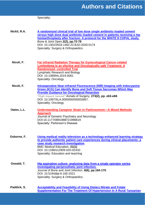|              | Speciality:                                                                                                                                                                                                                                                                                                                                             |
|--------------|---------------------------------------------------------------------------------------------------------------------------------------------------------------------------------------------------------------------------------------------------------------------------------------------------------------------------------------------------------|
| Nickil, R.A. | A randomized clinical trial of low dose single antibiotic-loaded cement<br>versus high dose dual antibiotic-loaded cement in patients receiving a hip<br>hemiarthroplasty after fracture: A protocol for the WHITE 8 COPAL study.<br>Bone & Joint Open, 2(2), pp.72-78<br>DOI: 10.1302/2633-1462.22.BJO-2020-0174<br>Speciality: Surgery & Orthopaedics |
| Nicoli, F.   | <b>Far infrared Radiation Therapy for Gynecological Cancer-related</b><br><b>Lymhedema Is an efective and Oncologically safe Treatment: A</b><br><b>Randomised- controlled Trial</b><br><b>Lymphatic Research and Biology</b><br>DOI: 10.1089/lrb.2019.0061<br>Speciality: Oncology                                                                     |
| Nicoli, F.   | <b>Intraoperative Near-infrared Fluorescence (NIR) Imaging with Indocyanine</b><br><b>Green (ICG) Can Identify Bone and Soft Tissue Sarcomas Which May</b><br><b>Provide Guidance for Oncological Resection</b><br>*High Impact Journal* Annals of Surgery, 273(2), pp. e63-e68.<br>DOI: 10.1097/SLA.0000000000003857.<br>Speciality: Oncology          |
| Oates, L.L.  | <b>Understanding Caregiver Strain in Parkinsonism-A Mixed Methods</b><br><b>Approach</b><br>Journal of Geriatric Psychiatry and Neurology<br>DOI:10.1177/0891988721996819<br><b>Specialty: Parkinson's Disease</b>                                                                                                                                      |
| Osborne, F.  | Using medical reality television as a technology-enhanced learning strategy<br>to provide authentic patient care experiences during clinical placements: a<br>case study research investigation.<br><b>BMC Medical Education, 21(1)</b><br>DOI: 10.1186/s12909-020-02432-<br>Speciality: Education and teaching                                         |
| Oswald, T.   | Hip aspiration culture: analysing data from a single operator series<br>investigating periprosthetic joint infection.<br>Journal of Bone and Joint Infection, 6(6), pp.165-170.<br>DOI: 10.5194/jbji-6-165-2021<br>Speciality: Surgery & Orthopaedics                                                                                                   |
| Paddick, S.  | <b>Acceptability and Feasibility of Using Dietary Nitrate and Folate</b><br>Supplementation For The Treatment Of Hypertension In A Rural Tanzanian                                                                                                                                                                                                      |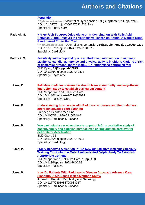#### **[Population.](https://journals.lww.com/jhypertension/Abstract/2021/04001/ACCEPTABILITY_AND_FEASIBILITY_OF_USING_DIETARY.794.aspx)**

*\*High Impact Journal\** Journal of Hypertension, **39 (Supplement 1), pp. e269.**  DOI: 10.1097/01.hjh.0000747532.53519.ce Speciality: Elderly Care

- **Paddick, S. [Nitrate-Rich Beetroot Juice Alone or In Combination With](https://academic.oup.com/jn/article/150/9/2460/5878881) Folic Acid [Reduces Blood Pressure In Hypertensive Tanzanian Adults: A Double-Blind](https://academic.oup.com/jn/article/150/9/2460/5878881)  [Randomized Controlled Trial.](https://academic.oup.com/jn/article/150/9/2460/5878881)** *\*High Impact Journal\** Journal of Hypertension, **39(Supplement 1), pp.e269-e270** DOI: 10.1097/01.hjh.0000747536.51685.70 Speciality: Cardiology
- **Paddick, S. [Feasibility and acceptability of a multi-domain intervention to increase](https://bmjopen.bmj.com/content/11/2/e042823.long)  [Mediterranean diet adherence and physical activity in older UK adults at risk](https://bmjopen.bmj.com/content/11/2/e042823.long)  [of dementia: protocol for the MedEx-UK randomised controlled trial](https://bmjopen.bmj.com/content/11/2/e042823.long)** BMJ Open, **11(2), pp. e042823** DOI:10.1136/bmjopen-2020-042823 Speciality: Psychiatry
	- **Paes, P. [Palliative medicine trainees be should learn about frailty: meta-synthesis](https://spcare.bmj.com/content/early/2021/11/22/bmjspcare-2021-003013)  [and Delphi study to establish curriculum content](https://spcare.bmj.com/content/early/2021/11/22/bmjspcare-2021-003013)** BMJ Supportive and Palliative Care DOI:10.1136/bmjpcare-2021-003013 Speciality: Palliative Care
	- **Paes, P. [Understanding how people with Parkinson's disease and their relatives](https://link.springer.com/article/10.1007%2Fs41999-021-00548-7)  [approach advance care planning](https://link.springer.com/article/10.1007%2Fs41999-021-00548-7)** European Geriatric Medicine DOI:10.1007/S41999-02100548-7 Speciality: Parkinson's Disease
	- **Paes, P. [You can't start a car when there's no petrol left': a qualitative study of](https://bmjopen.bmj.com/content/11/7/e048024)  [patient, family and clinician perspectives on implantable cardioverter](https://bmjopen.bmj.com/content/11/7/e048024)  [defibrillator deactivation](https://bmjopen.bmj.com/content/11/7/e048024)** BMJ Open, **11** DOI:10.1136/bmjopen-2020-048024 Speciality: Cardiology
	- **Paes, P. [Frailty Deserves A Mention In The New Uk](https://spcare.bmj.com/content/bmjspcare/11/Suppl_1/A23.1.full.pdf) Palliative Medicine Specialty [Training Curriculum. A Meta-Synthesis And Delphi Study To Establish](https://spcare.bmj.com/content/bmjspcare/11/Suppl_1/A23.1.full.pdf)  [Appropriate Content](https://spcare.bmj.com/content/bmjspcare/11/Suppl_1/A23.1.full.pdf)** BMJ Supportive & Palliative Care ,**1, pp. A23** DOI:10.1136/spcare-2021-PCC.58 Speciality: Palliative
	- **Paes, P. [How Do Patients With Parkinson's Disease Approach Advance Care](https://journals.sagepub.com/doi/abs/10.1177/0891988720988917)  [Planning? A UK-Based Mixed Methods Study.](https://journals.sagepub.com/doi/abs/10.1177/0891988720988917)** Journal of Geriatric Psychiatry and Neurology. DOI:10.1177/0891988720988917 Speciality: Parkinson's Disease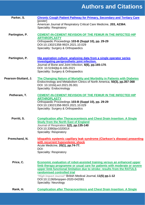| Parker, S.           | <b>Chronic Cough Patient Pathway for Primary, Secondary and Tertiary Care</b>                                                                                                                                                                                                                                                                                                              |
|----------------------|--------------------------------------------------------------------------------------------------------------------------------------------------------------------------------------------------------------------------------------------------------------------------------------------------------------------------------------------------------------------------------------------|
|                      | [poster]<br>American Journal of Respiratory Critical Care Medicine, 203, A2364.<br><b>Speciality: Respiratory</b>                                                                                                                                                                                                                                                                          |
| Partington, P.       | <b>CEMENT-IN-CEMENT REVISION OF THE FEMUR IN THE INFECTED HIP</b><br><b>ARTHROPLASTY</b><br>Orthopaedic Proceedings 103-B (Suppl 10), pp. 29-29<br>DOI:10.1302/1358-992X.2021.10.029<br>Speciality: Surgery & Orthopaedics                                                                                                                                                                 |
| Partington, P.       | Hip aspiration culture: analysing data from a single operator series<br>investigating periprosthetic joint infection.<br>Journal of Bone and Joint Infection, 6(6), pp.165-170.<br>DOI: 10.5194/jbji-6-165-2021<br>Speciality: Surgery & Orthopaedics                                                                                                                                      |
| Pearson-Stuttard, J. | The Changing Nature of Mortality and Morbidity in Patients with Diabetes<br>Endocrinology and Metabolism Clinics of North America, 50(3), pp.357-368<br>DOI: 10.1016/j.ecl.2021.05.001<br>Speciality: Endocrinology                                                                                                                                                                        |
| Petheram, T.         | <b>CEMENT-IN-CEMENT REVISION OF THE FEMUR IN THE INFECTED HIP</b><br><b>ARTHROPLASTY</b><br>Orthopaedic Proceedings 103-B (Suppl 10), pp. 29-29<br>DOI:10.1302/1358-992X.2021.10.029<br>Speciality: Surgery & Orthopaedics                                                                                                                                                                 |
| Porritt, S.          | <b>Complication after Thoracocentesis and Chest Drain Insertion: A Single</b><br><b>Study from the North East of England</b><br>Journal of Respiration 1(2), pp.135-140<br>DOI:10.3390/jor1020014<br>Speciality: Respiratory                                                                                                                                                               |
| Premchand, N.        | Idiopathic systemic capillary leak syndrome (Clarkson's disease) presenting<br>with recurrent hypovolemic shock<br>Acute Medicine, 20(1), pp.74-77.<br>DOI:<br><b>Speciality: Respiratory</b>                                                                                                                                                                                              |
| Price, C.            | Economic evaluation of robot-assisted training versus an enhanced upper<br>limb therapy programme or usual care for patients with moderate or severe<br>upper limb functional limitation due to stroke: results from the RATULS<br>randomised controlled trial<br>*High Impact Journal* British Medical Journal, 11(5) pp.1-12<br>DOI:10.1136/bmjopen-2020-042081<br>Speciality: Neurology |
| Rank, H.             | <b>Complication after Thoracocentesis and Chest Drain Insertion: A Single</b>                                                                                                                                                                                                                                                                                                              |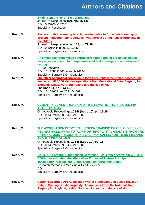|          | <b>Study from the North East of England</b><br>Journal of Respiration 1(2), pp.135-140<br>DOI:10.3390/jor1020014<br><b>Speciality: Respiratory</b>                                                                                                                                                                                                                   |
|----------|----------------------------------------------------------------------------------------------------------------------------------------------------------------------------------------------------------------------------------------------------------------------------------------------------------------------------------------------------------------------|
| Reed, M. | Resistant fabric warming is a viable alternative to forced-air warming to<br>prevent inadvertent perioperative hypothermia during hemiarthroplasty in<br>the elderly<br>Journal of Hospital Infection 118, pp.79-86<br>DOI:10.1016/j.jhin.2021.10.005<br>Speciality: Surgery & Orthopaedics                                                                          |
| Reed, M. | An embedded randomised controlled retention trial of personalised text<br>messages compared to non-personalised text messages in an orthopaedic<br>setting<br>F <sub>1000</sub> Research<br>DOI: 10.12688/f1000research.24244.<br>Speciality: Surgery & Orthopaedics                                                                                                 |
| Reed, M. | The effect of surgical approach in total knee replacement on outcomes. An<br>analysis of 875,166 elective operations from the National Joint Registry for<br><b>England, Wales, Northern Ireland and the Isle of Man</b><br>The Knee 31, pp. 144-157<br>DOI: 10.1016/j.knee.2021.04.009<br>Speciality: Surgery & Orthopaedics                                        |
| Reed, M. | <b>CEMENT-IN-CEMENT REVISION OF THE FEMUR IN THE INFECTED HIP</b><br><b>ARTHROPLASTY</b><br>Orthopaedic Proceedings 103-B (Supp 10), pp. 29-29<br>DOI:10.1302/1358-992X.2021.10.029<br>Speciality: Surgery & Orthopaedics                                                                                                                                            |
| Reed, M. | THE ASSOCIATION BETWEEN SURGEON TRAINING GRADE AND RISK OF<br><b>REVISION FOLLOWING TOTAL HIP ARTHROPLASTY: ANALYSIS FROM THE</b><br><b>NATIONAL JOINT REGISTRY OF ENGLAND, WALES, NORTHERN IRELAND,</b><br><b>AND THE ISLE OF MAN</b><br>Orthopaedic Proceedings 103-B (Supp 10), pp. 15<br>DOI:10.1302/1358-992X.2021.10.015<br>Speciality: Surgery & Orthopaedics |
| Reed, M. | <b>EnTraP: A Factorial Randomised Controlled Trial embedded within WHITE 8</b><br><b>COPAL investigating the effect of an Enhanced Trainee Principal</b><br><b>Investigator Package and Digital Nudge on recruitment rates.</b><br>Research Methods in Medicine & Health Science<br>DOI:<br>Speciality: Surgery & Orthopaedics                                       |
| Reed, M. | <b>Ceramic Bearings Are Associated With a Significantly Reduced Revision</b><br>Rate in Primary Hip Arthroplasty: An Analysis From the National Joint<br><b>Registry for England, Wales, Northern Ireland, and the Isle of Man</b>                                                                                                                                   |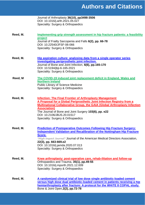|          | Journal of Arthroplasty 36(10), pp3498-3506<br>DOI: 10.1016/j.arth.2021.05.027<br>Speciality: Surgery & Orthopaedics                                                                                                                                                                                                                                                               |
|----------|------------------------------------------------------------------------------------------------------------------------------------------------------------------------------------------------------------------------------------------------------------------------------------------------------------------------------------------------------------------------------------|
| Reed, M. | Implementing grip strength assessment in hip fracture patients: a feasibility<br>project<br>Journal of Frailty Sarcopenia and Falls 6(2), pp. 66-78<br>DOI: 10.22540/JFSF-06-066<br>Speciality: Surgery & Orthopaedics                                                                                                                                                             |
| Reed, M. | Hip aspiration culture: analysing data from a single operator series<br>investigating periprosthetic joint infection.<br>Journal of Bone and Joint Infection, 6(6), pp.165-170<br>DOI: 10.5194/jbji-6-165-2021<br>Speciality: Surgery & Orthopaedics                                                                                                                               |
| Reed, M  | The COVID-19 induced joint replacement deficit in England, Wales and<br><b>Northern Ireland</b><br><b>Public Library of Science Medicine</b><br>Speciality: Surgery & Orthopaedics                                                                                                                                                                                                 |
| Reed, M. | <b>Infection: The Final Frontier of Arthroplasty Management</b><br>A Proposal for a Global Periprosthetic Joint Infection Registry from a<br><b>Multinational Collaborative Group, the GAIA (Global Arthroplasty Infection</b><br><b>Association)</b><br>The Journal of Bone and Joint Surgery 103(6), pp. e22<br>DOI: 10.2106/JBJS.20.01517<br>Speciality: Surgery & Orthopaedics |
| Reed, M. | <b>Prediction of Postoperative Outcomes Following Hip Fracture Surgery:</b><br><b>Independent Validation and Recalibration of the Nottingham Hip Fracture</b><br>Score.<br>*High Impact Journal* Journal of the American Medical Directors Association,<br>22(3), pp. 663-669.e2<br>DOI: 10.1016/j.jamda.2020.07.013<br>Speciality: Surgery & Orthopaedics                         |
| Reed, M. | <u>Knee arthroplasty: post-operative care, rehab-ilitation and follow-up</u><br>Orthopaedics and Trauma, 35(1), pp.49-55<br>DOI: 10.1016/j.mporth.2021.12.009<br>Speciality: Surgery & Orthopaedics                                                                                                                                                                                |
| Reed, M. | A randomized clinical trial of low dose single antibiotic-loaded cement<br>versus high dose dual antibiotic-loaded cement in patients receiving a hip<br>hemiarthroplasty after fracture: A protocol for the WHITE 8 COPAL study.<br>Bone & Joint Open, 2(2), pp.72-78                                                                                                             |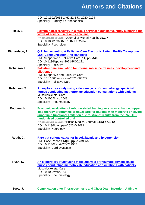|                | DOI: 10.1302/2633-1462.22.BJO-2020-0174<br>Speciality: Surgery & Orthopaedics                                                                                                                                                                                                                                                                                                              |
|----------------|--------------------------------------------------------------------------------------------------------------------------------------------------------------------------------------------------------------------------------------------------------------------------------------------------------------------------------------------------------------------------------------------|
| Reid, L.       | Psychological recovery in a step 4 service: a qualitative study exploring the<br>views of service users and clinicians<br>*High Impact Journal* Journal of Mental Health, pp.1-7<br>DOI:10.1080/09638237.2021.1922640<br>Speciality: Psychology                                                                                                                                            |
| Richardson, F. | <b>QIP: Implementing A Palliative Care Electronic Patient Profile To Improve</b><br><b>MDT Communication And Handover.</b><br>BMJ Supportive & Palliative Care, 11, pp. A46<br>DOI:10.1136/spcare-2021-PCC.121<br><b>Speciality: Palliative</b>                                                                                                                                            |
| Robinson, L.   | Palliative care simulation for internal medicine trainees: development and<br>pilot study<br><b>BMJ Supportive and Palliative Care.</b><br>DOI: 10.1136/bmjspcare-2021-003272<br><b>Speciality: Palliative Care</b>                                                                                                                                                                        |
| Robinson, S.   | An exploratory study using video analysis of rheumatology specialist<br>nurses conducting methotrexate education consultations with patients<br><b>Musculoskeletal Care</b><br>DOI:10.1002/msc.1543<br>Speciality: Rheumatology                                                                                                                                                            |
| Rodgers, H.    | Economic evaluation of robot-assisted training versus an enhanced upper<br>limb therapy programme or usual care for patients with moderate or severe<br>upper limb functional limitation due to stroke: results from the RATULS<br>randomised controlled trial<br>*High Impact Journal* British Medical Journal, 11(5) pp.1-12<br>DOI:10.1136/bmjopen-2020-042081<br>Speciality: Neurology |
| Routh, C.      | Rare but serious cause for hypokalaemia and hypertension.<br>BMJ Case Reports, 14(3), pp. e 239955.<br>DOI:10.1136/bcr-2020-239955.<br>Speciality: Cardiovascular                                                                                                                                                                                                                          |
| Ryan, S.       | An exploratory study using video analysis of rheumatology specialist<br>nurses conducting methotrexate education consultations with patients<br><b>Musculoskeletal Care</b><br>DOI:10.1002/msc.1543<br>Speciality: Rheumatology                                                                                                                                                            |

**Scott, J. [Complication after Thoracocentesis and Chest Drain Insertion: A Single](https://doi.org/10.3390/jor1020014)**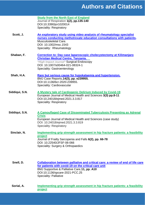|                | <b>Study from the North East of England</b><br>Journal of Respiration 1(2), pp.135-140<br>DOI:10.3390/jor1020014<br><b>Speciality: Respiratory</b>                                                                                                           |
|----------------|--------------------------------------------------------------------------------------------------------------------------------------------------------------------------------------------------------------------------------------------------------------|
| Scott, J.      | <u>An exploratory study using video analysis of rheumatology specialist</u><br>nurses conducting methotrexate education consultations with patients.<br>Musculoskeletal Care.<br>DOI: 10.1002/msc.1543<br>Speciality: Rheumatology                           |
| Shaban, F.     | Correction to: Day case Iaparoscopic cholecystectomy at Kilimanjaro<br><b>Christian Medical Centre, Tanzania.</b><br>*High Impact Journal* Surgical Endoscopy<br>DOI: 10.1007/s00464-021-08324-1<br>Speciality: Gastroenterology                             |
| Shah, H.A.     | Rare but serious cause for hypokalaemia and hypertension.<br>BMJ Case Reports, 14(3), pp. e239955.<br>DOI:10.1136/bcr-2020-239955.<br>Speciality: Cardiovascular                                                                                             |
| Siddiqui, S.N. | A Mystery tale of Cardiogenic Delirium Induced by Covid-19<br>European Journal of Medical Health and Sciences 3(3) pp.8-11<br>DOI:10.24018/ejmed.2021.3.3.817<br><b>Speciality: Respiratory</b>                                                              |
| Siddiqui, S.N. | A Camouflaged Case of Disseminated Tuberculosis Presenting as Adrenal<br><b>Crisis</b><br>European Journal of Medical Health and Sciences (case study)<br>DOI: 10.24018/ejmed.2021.3.3.819<br><b>Speciality: Respiratory</b>                                 |
| Sinclair, N.   | Implementing grip strength assessment in hip fracture patients: a feasibility<br>project<br>Journal of Frailty Sarcopenia and Falls 6(2), pp. 66-78<br>DOI: 10.22540/JFSF-06-066<br>Speciality: Surgery & Orthopaedics                                       |
| Snell, D.      | Collaboration between palliative and critical care: a review of end of life care<br>for patients with covid-19 on the critical care unit<br>BMJ Supportive & Palliative Care, 11, pp. A10<br>DOI:10.1136/spcare-2021-PCC.25<br><b>Speciality: Palliative</b> |
| Sorial, A.     | Implementing grip strength assessment in hip fracture patients: a feasibility<br><b>project</b>                                                                                                                                                              |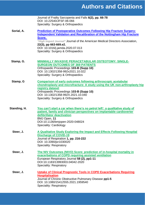|              | Journal of Frailty Sarcopenia and Falls 6(2), pp. 66-78<br>DOI: 10.22540/JFSF-06-066<br>Speciality: Surgery & Orthopaedics                                                                                                                                                                                                                                 |
|--------------|------------------------------------------------------------------------------------------------------------------------------------------------------------------------------------------------------------------------------------------------------------------------------------------------------------------------------------------------------------|
| Sorial, A.   | <b>Prediction of Postoperative Outcomes Following Hip Fracture Surgery:</b><br><b>Independent Validation and Recalibration of the Nottingham Hip Fracture</b><br>Score.<br>*High Impact Journal* Journal of the American Medical Directors Association,<br>22(3), pp 663-669.e2.<br>DOI: 10.1016/j.jamda.2020.07.013<br>Speciality: Surgery & Orthopaedics |
| Stamp, G.    | <b>MINIMALLY INVASIVE PERIACETABULAR OSTEOTOMY: SINGLE-</b><br><b>SURGEON OUTCOMES OF 369 PATIENTS</b><br>Orthopaedic Proceedings 103-B (Supp 10)<br>DOI: 10.1302/1358-992x2021.10.022<br>Speciality: Surgery & Orthopaedics                                                                                                                               |
| Stamp, G     | <b>Comparison of early outcomes following arthroscopic acetabular</b><br>chondroplasty and microfracture: A study using the UK non-arthroplasty hip<br>registry dataset<br>Orthopaedic Proceedings 103-B (Supp 10)<br>DOI: 10.1302/1358-992X.2021.10.040<br>Speciality: Surgery & Orthopaedics                                                             |
| Standing, H. | You can't start a car when there's no petrol left': a qualitative study of<br>patient, family and clinician perspectives on implantable cardioverter<br>defibrillator deactivation<br>BMJ Open, 11<br>DOI:10.1136/bmjopen-2020-048024<br>Speciality: Cardiology                                                                                            |
| Steer, J.    | A Qualitative Study Exploring the Impact and Effects Following Hospital<br><b>Discharge of COVID-19</b><br>Journal of Respiration 1, pp. 216-222<br>DOI: 10.3390/jor1030020<br><b>Speciality: Respiratory</b>                                                                                                                                              |
| Steer, J.    | The NIV Outcomes (NIVO) Score: prediction of in-hospital mortality in<br>exacerbations of COPD requiring assisted ventilation<br>European Respiratory Journal 58 (2), pp1-11<br>DOI:10.1183/13993003.04042-2020<br><b>Speciality: Respiratory</b>                                                                                                          |
| Steer, J.    | <b>Uptake of Clinical Prognostic Tools in COPD Exacerbations Requiring</b><br><b>Hospitalisation</b><br>Journal of Chronic Obstructive Pulmonary Disease pp1-5<br>DOI: 10.1080/15412555.2021.1959540<br><b>Speciality: Respiratory</b>                                                                                                                     |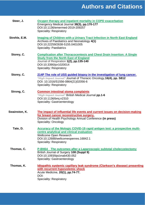| Steer, J.     | Oxygen therapy and inpatient mortality in COPD exacerbation<br>Emergency Medical Journal 38(3), pp.170-177<br>DOI:10.1136/emermed-2019-209257<br><b>Speciality: Respiratory</b>                                                     |
|---------------|-------------------------------------------------------------------------------------------------------------------------------------------------------------------------------------------------------------------------------------|
| Strehle, E.M. | <b>Imaging of Children with a Urinary Tract Infection in North East England</b><br>Archives of Paediatrics and Neonatology 4(1)<br>DOI:10.22259/2638-5155.0401005<br><b>Speciality: Paediatrics</b>                                 |
| Storey, C.    | <b>Complication after Thoracocentesis and Chest Drain Insertion: A Single</b><br><b>Study from the North East of England</b><br>Journal of Respiration 1(2), pp.135-140<br>DOI:10.3390/jor1020014<br><b>Speciality: Respiratory</b> |
| Storey, C.    | 214P The role of USS guided biopsy in the investigation of lung cancer.<br>*High Impact Journal* Journal of Thoracic Oncology, 16(4), pp. S812<br>DOI: 10.1016/S1556-0864(21)02056-6<br><b>Speciality: Respiratory</b>              |
| Strong, C.    | <b>Common intestinal stoma complaints</b><br>*High Impact Journal* British Medical Journal pp.1-6<br>DOI:10.1136/bmj.n2310<br>Speciality: Gastroenterology                                                                          |
| Swainston, K. | The impact of influential life events and current issues on decision-making<br>for breast cancer reconstructive surgery.<br>Division of Health Psychology Annual Conference (in press)<br>Speciality: Oncology                      |
| Tate, D.      | Accuracy of the Mologic COVID-19 rapid antigen test: a prospective multi-<br>centre analytical and clinical evaluation<br><b>Wellcome Open Research</b><br>DOI:10.12688/wellcomeopenres.16842.1<br><b>Speciality: Respiratory</b>   |
| Thomas, C.    | <b>P-BN54</b> The outcomes after a Laparoscopic subtotal cholecystectomy<br>British Journal of Surgery 108 (Suppl 9)<br>DOI:10.1093/bjs/znab430.052<br>Speciality: Gastroenterology                                                 |
| Thomas, K.    | Idiopathic systemic capillary leak syndrome (Clarkson's disease) presenting<br>with recurrent hypovolemic shock<br>Acute Medicine, 20(1), pp.74-77.<br>DOI:<br><b>Speciality: Respiratory</b>                                       |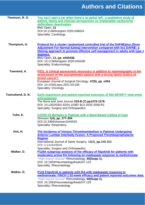| Thomson, R. G.   | You can't start a car when there's no petrol left': a qualitative study of<br>patient, family and clinician perspectives on implantable cardioverter<br>defibrillator deactivation<br>BMJ Open, 11<br>DOI:10.1136/bmjopen-2020-048024<br><b>Speciality: Cardiology</b>                                                                                |
|------------------|-------------------------------------------------------------------------------------------------------------------------------------------------------------------------------------------------------------------------------------------------------------------------------------------------------------------------------------------------------|
| Thompson, G.     | <b>Protocol for a cluster randomised controlled trial of the DAFNEplus (Dose</b><br>Adjustment For Normal Eating) intervention compared with 5x1 DAFNE: a<br>lifelong approach to promote effective self-management in adults with type 1<br>diabetes.<br>BMJ Open, 11, pp. e040438.<br>DOI: 10.1136/bmjopen-2020-040438<br>Speciality: Endocrinology |
| Townend, A.      | P031. Is clinical assessment necessary in addition to mammography in the<br>assessment of the asymptomatic patient with a strong family history of<br>breast cancer?.<br>European Journal of Surgical Oncology, 47(5), pp. e304.<br>DOI: 10.1016/j.ejso.2021.03.035<br><b>Speciality: Oncology</b>                                                    |
| Townshend, D. N. | <b>Early experience and patient-reported outcomes of 503 INFINITY total ankle</b><br><b>arthroplasties</b><br>The Bone and Joint Journal 103-B (7) pp1270-1276<br>DOI: 10.1302/0301-620X.103B7.BJJ-2020-2058.R2<br>Speciality: Surgery and Orthopaedics                                                                                               |
| Tullo, E.        | <b>COVID-19 Mortality in Patients with a Ward-Based Ceiling of Care</b><br>Stresses 1(4), pp. 277-284<br>DOI:10.3390/stresses1040020<br><b>Speciality: Respiratory</b>                                                                                                                                                                                |
| Vint, H.         | The Incidence of Venous Thromboembolism in Patients Undergoing<br><b>Anterior Lumbar Interbody Fusion: A Proposed Thromboprophylactic</b><br><b>Regime</b><br>International Journal of Spine Surgery, 15(2), pp.348-352<br>DOI: 0.14444/8045                                                                                                          |
| Walker, D.       | Speciality: Surgery and Orthopaedics<br>P128A subgroup analysis of the efficacy of filgotinib for patients with<br>moderately active RA following an inadequate response to methotrexate.<br>*High Impact Journal* Rheumatology, 60(Supp 1).<br>DOI: 10.1093/rheumatology/keab247.123<br>Speciality: Rheumatology                                     |
| Walker, D.       | <b>P133 Filgotinib in patients with RA with inadequate response to</b><br>methotrexate: FINCH 1 52-week efficacy and patient reported outcomes data.<br>*High Impact Journal* Rheumatology, 60(Supp 1).<br>DOI: 10.1093/rheumatology/keab247.129<br>Speciality: Rheumatology                                                                          |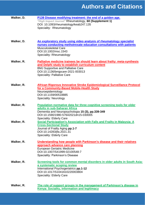| Walker, D. | P139 Disease modifying treatment: the end of a golden age.<br>*High Impact Journal* Rheumatology, 60 (Supplement 1)<br>DOI: 10.1093/rheumatology/keab247.135<br>Speciality: Rheumatology                                                              |
|------------|-------------------------------------------------------------------------------------------------------------------------------------------------------------------------------------------------------------------------------------------------------|
|            |                                                                                                                                                                                                                                                       |
| Walker, D. | <u>An exploratory study using video analysis of rheumatology specialist</u><br>nurses conducting methotrexate education consultations with patients<br><b>Musculoskeletal Care</b><br>DOI:10.1002/msc.1543<br>Speciality: Rheumatology                |
| Walker, R. | Palliative medicine trainees be should learn about frailty: meta-synthesis<br>and Delphi study to establish curriculum content<br><b>BMJ Supportive and Palliative Care</b><br>DOI:10.1136/bmjpcare-2021-003013<br><b>Speciality: Palliative Care</b> |
| Walker, R. | <b>African Rigorous Innovative Stroke Epidemiological Surveillance Protocol</b><br>for a Community-Based Mobile-Health Study<br>Neuroepidemiology<br>DOI:10.1159/00518885<br><b>Speciality: Neurology</b>                                             |
| Walker, R. | Population normative data for three cognitive screening tools for older<br>adults in sub-Saharan Africa<br>Dementia and Neuropsychologia 15 (3), pp.339-349<br>DOI:10.1590/1980-57642021dn15-030005<br><b>Speciality: Elderly Care</b>                |
| Walker, R. | <b>Social Participation's Association with Falls and Frailty in Malaysia: A</b><br><b>Cross-Sectional Study</b><br>Journal of Frailty Aging pp.1-7<br>DOI:10.14283/jfa.2021.31<br><b>Speciality: Elderly Care</b>                                     |
| Walker, R. | <u>Understanding how people with Parkinson's disease and their relatives</u><br>approach advance care planning<br><b>European Geriatric Medicine</b><br>DOI:10.1007/S41999-02100548-7<br><b>Speciality: Parkinson's Disease</b>                       |
| Walker, R. | Screening tools for common mental disorders in older adults in South Asia:<br>a systematic scoping review<br>International Psychogeriatrics pp.1-12<br>DOI:10.1017/S1041610220003804<br><b>Speciality: Elderly Care</b>                               |
| Walker, R. | The role of support groups in the management of Parkinson's disease in<br><b>Kenya: Sociality, information and legitimacy</b>                                                                                                                         |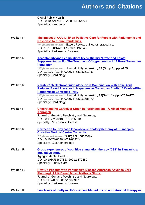Global Public Health DOI:10.1080/17441692.2021.1954227 Speciality: Neurology

| Walker, R. | The Impact of COVID-19 on Palliative Care for People with Parkinson's and<br><b>Response to Future Pandemics.</b><br>*High Impact Journal* Expert Review of Neurotherapeutics.<br>DOI: 10.1080/14737175.2021.1923480<br><b>Speciality: Parkinson's Disease</b>                                                                                |
|------------|-----------------------------------------------------------------------------------------------------------------------------------------------------------------------------------------------------------------------------------------------------------------------------------------------------------------------------------------------|
| Walker, R. | <b>Acceptability and Feasibility of Using Dietary Nitrate and Folate</b><br><b>Supplementation For The Treatment Of Hypertension In A Rural Tanzanian</b><br><b>Population.</b><br>*High Impact Journal* Journal of Hypertension, 39 (Supp 1), pp. e269.<br>DOI: 10.1097/01.hjh.0000747532.53519.ce<br><b>Speciality: Cardiology</b>          |
| Walker, R. | Nitrate-Rich Beetroot Juice Alone or In Combination With Folic Acid<br>Reduces Blood Pressure In Hypertensive Tanzanian Adults: A Double-Blind<br><b>Randomized Controlled Trial.</b><br>*High Impact Journal* Journal of Hypertension, 39(Supp 1), pp. e269-e270<br>DOI: 10.1097/01.hjh.0000747536.51685.70<br><b>Speciality: Cardiology</b> |
| Walker, R. | <b>Understanding Caregiver Strain in Parkinsonism-A Mixed Methods</b><br><b>Approach</b><br>Journal of Geriatric Psychiatry and Neurology<br>DOI:10.1177/0891988721996819<br><b>Specialty: Parkinson's Disease</b>                                                                                                                            |
| Walker, R. | Correction to: Day case Iaparoscopic cholecystectomy at Kilimanjaro<br><b>Christian Medical Centre, Tanzania.</b><br>*High Impact Journal* Surgical Endoscopy<br>DOI:10.1007/s00464-021-08324-1<br>Speciality: Gastroenterology                                                                                                               |
| Walker, R. | <b>Group experiences of cognitive stimulation therapy (CST) in Tanzania: a</b><br>qualitative study.<br>Aging & Mental Health,<br>DOI:10.1080/13607863.2021.1872489<br><b>Speciality: Elderly Care</b>                                                                                                                                        |
| Walker, R. | <b>How Do Patients with Parkinson's Disease Approach Advance Care</b><br><b>Planning? A UK-Based Mixed Methods Study.</b><br>Journal of Geriatric Psychiatry and Neurology.<br>DOI:0.1177/0891988720988917<br>Speciality: Parkinson's Disease.                                                                                                |
| Walker, R. | Low levels of frailty in HIV-positive older adults on antiretroviral therapy in                                                                                                                                                                                                                                                               |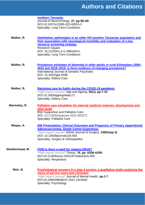|                 | northern Tanzania.<br>Journal of NeuroVirology, 27, pp.58-69<br>DOI:10.1007/s13365-020-00915-3<br><b>Speciality: Long Term Conditions</b>                                                                                                                                                  |
|-----------------|--------------------------------------------------------------------------------------------------------------------------------------------------------------------------------------------------------------------------------------------------------------------------------------------|
| Walker, R.      | Ophthalmic pathologies in an older HIV-positive Tanzanian population and<br>their association with neurological morbidity and evaluation of a low-<br>resource screening strategy<br><b>Research Square</b><br>DOI: 10.21203/rs.3.rs-398160/v1.<br><b>Speciality: Long Term Conditions</b> |
| Walker, R.      | Prevalence estimates of dementia in older adults in rural Kilimanjaro 2009-<br>2010 and 2018–2019: is there evidence of changing prevalence?<br><b>International Journal of Geriatric Psychiatry</b><br>DOI: 10.1002/gps.5498<br><b>Speciality: Elderly Care</b>                           |
| Walker, R.      | Rationing care by frailty during the COVID-19 pandemic.<br>*High Impact Journal* Age and Ageing, 50(1), pp.7-10<br>DOI:10.1093/ageing/afaa171<br><b>Speciality: Elderly Care</b>                                                                                                           |
| Warmsley, R.    | Palliative care simulation for internal medicine trainees: development and<br>pilot study<br><b>BMJ Supportive and Palliative Care.</b><br>DOI: 10.1136/bmjspcare-2021-003272<br><b>Speciality: Palliative Care</b>                                                                        |
| Waqas, A.       | 836 Presentation, Clinical Outcomes and Prognosis of Primary Appendiceal<br><b>Adenocarcinoma; Single Centre Experience.</b><br>*High Impact Journal* British Journal of Surgery, 108(Supp 2)<br>DOI: 10.1093/bjs/znab134.583<br>Speciality: Surgery & Orthopaedics                        |
| Weatherhead, M. | P220 Is there a need for staging EBUS?<br>*High Impact Journal* Thorax, 76, pp. A208-A209.<br>DOI:10.1136/thorax-2020-BTSabstracts.365<br><b>Speciality: Respiratory</b>                                                                                                                   |
| Weir, B.        | Psychological recovery in a step 4 service: a qualitative study exploring the<br>views of service users and clinicians<br>*High Impact Journal* Journal of Mental Health, pp.1-7<br>DOI:10.1080/09638237.2021.1922640<br>Speciality: Psychology                                            |